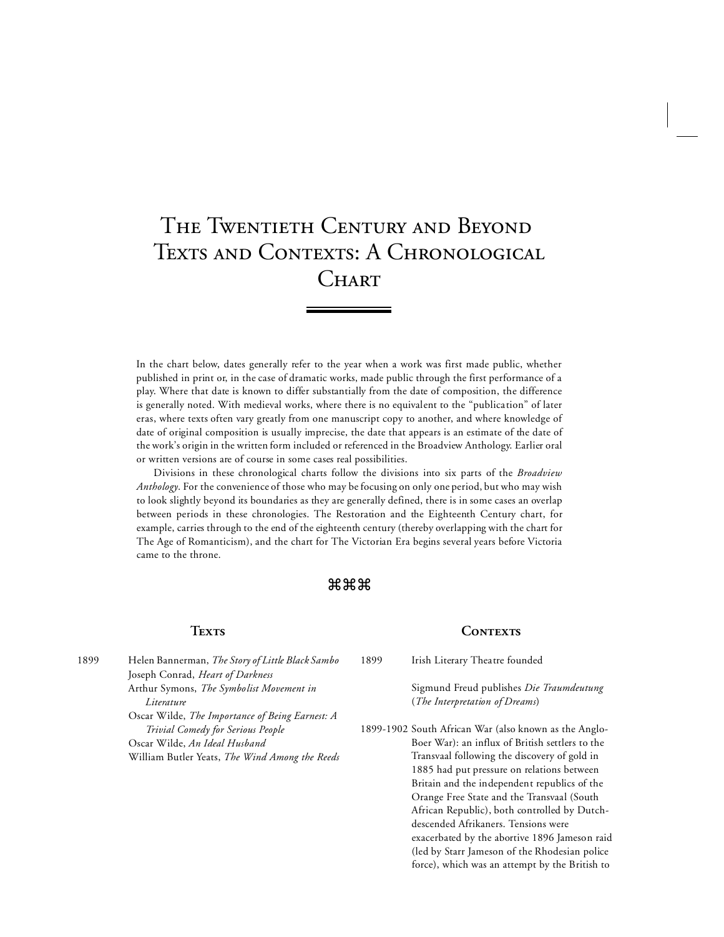# The Twentieth Century and Beyond TEXTS AND CONTEXTS: A CHRONOLOGICAL **CHART**

In the chart below, dates generally refer to the year when a work was first made public, whether published in print or, in the case of dramatic works, made public through the first performance of a play. Where that date is known to differ substantially from the date of composition, the difference is generally noted. With medieval works, where there is no equivalent to the "publication" of later eras, where texts often vary greatly from one manuscript copy to another, and where knowledge of date of original composition is usually imprecise, the date that appears is an estimate of the date of the work's origin in the written form included or referenced in the Broadview Anthology. Earlier oral or written versions are of course in some cases real possibilities.

Divisions in these chronological charts follow the divisions into six parts of the *Broadview Anthology*. For the convenience of those who may be focusing on only one period, but who may wish to look slightly beyond its boundaries as they are generally defined, there is in some cases an overlap between periods in these chronologies. The Restoration and the Eighteenth Century chart, for example, carries through to the end of the eighteenth century (thereby overlapping with the chart for The Age of Romanticism), and the chart for The Victorian Era begins several years before Victoria came to the throne.

#### $\mathfrak{g}\mathfrak{g}$ ង

#### **Texts**

1899 Irish Literary Theatre founded

CONTEXTS

Sigmund Freud publishes *Die Traumdeutung*  (*The Interpretation of Dreams*)

1899-1902 South African War (also known as the Anglo-Boer War): an influx of British settlers to the Transvaal following the discovery of gold in 1885 had put pressure on relations between Britain and the independent republics of the Orange Free State and the Transvaal (South African Republic), both controlled by Dutchdescended Afrikaners. Tensions were exacerbated by the abortive 1896 Jameson raid (led by Starr Jameson of the Rhodesian police force), which was an attempt by the British to

1899 Helen Bannerman, *The Story of Little Black Sambo* Joseph Conrad, *Heart of Darkness* Arthur Symons, *The Symbolist Movement in Literature* Oscar Wilde, *The Importance of Being Earnest: A Trivial Comedy for Serious People* Oscar Wilde, *An Ideal Husband* William Butler Yeats, *The Wind Among the Reeds*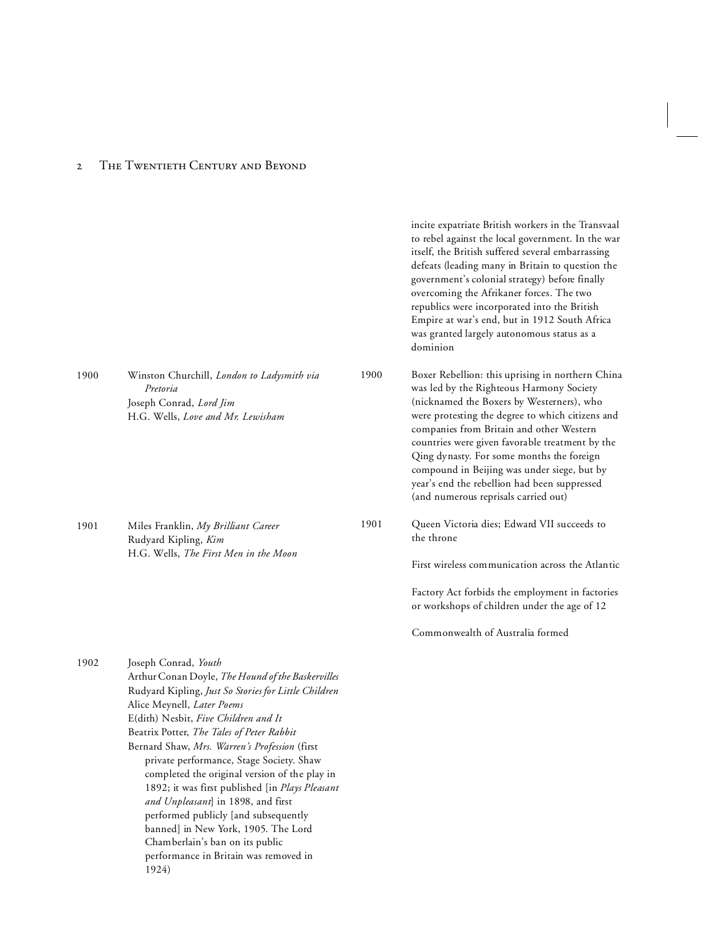#### 2 THE TWENTIETH CENTURY AND BEYOND

|      |                                                                                                                                                                                                                                                                                                                                                                                                                                                                                                                                                                                                                                                                 |      | incite expatriate British workers in the Transvaal<br>to rebel against the local government. In the war<br>itself, the British suffered several embarrassing<br>defeats (leading many in Britain to question the<br>government's colonial strategy) before finally<br>overcoming the Afrikaner forces. The two<br>republics were incorporated into the British<br>Empire at war's end, but in 1912 South Africa<br>was granted largely autonomous status as a<br>dominion        |
|------|-----------------------------------------------------------------------------------------------------------------------------------------------------------------------------------------------------------------------------------------------------------------------------------------------------------------------------------------------------------------------------------------------------------------------------------------------------------------------------------------------------------------------------------------------------------------------------------------------------------------------------------------------------------------|------|----------------------------------------------------------------------------------------------------------------------------------------------------------------------------------------------------------------------------------------------------------------------------------------------------------------------------------------------------------------------------------------------------------------------------------------------------------------------------------|
| 1900 | Winston Churchill, London to Ladysmith via<br>Pretoria<br>Joseph Conrad, Lord Jim<br>H.G. Wells, Love and Mr. Lewisham                                                                                                                                                                                                                                                                                                                                                                                                                                                                                                                                          | 1900 | Boxer Rebellion: this uprising in northern China<br>was led by the Righteous Harmony Society<br>(nicknamed the Boxers by Westerners), who<br>were protesting the degree to which citizens and<br>companies from Britain and other Western<br>countries were given favorable treatment by the<br>Qing dynasty. For some months the foreign<br>compound in Beijing was under siege, but by<br>year's end the rebellion had been suppressed<br>(and numerous reprisals carried out) |
| 1901 | Miles Franklin, My Brilliant Career<br>Rudyard Kipling, Kim<br>H.G. Wells, The First Men in the Moon                                                                                                                                                                                                                                                                                                                                                                                                                                                                                                                                                            | 1901 | Queen Victoria dies; Edward VII succeeds to<br>the throne                                                                                                                                                                                                                                                                                                                                                                                                                        |
|      |                                                                                                                                                                                                                                                                                                                                                                                                                                                                                                                                                                                                                                                                 |      | First wireless communication across the Atlantic                                                                                                                                                                                                                                                                                                                                                                                                                                 |
|      |                                                                                                                                                                                                                                                                                                                                                                                                                                                                                                                                                                                                                                                                 |      | Factory Act forbids the employment in factories<br>or workshops of children under the age of 12                                                                                                                                                                                                                                                                                                                                                                                  |
|      |                                                                                                                                                                                                                                                                                                                                                                                                                                                                                                                                                                                                                                                                 |      | Commonwealth of Australia formed                                                                                                                                                                                                                                                                                                                                                                                                                                                 |
| 1902 | Joseph Conrad, Youth<br>Arthur Conan Doyle, The Hound of the Baskervilles<br>Rudyard Kipling, Just So Stories for Little Children<br>Alice Meynell, Later Poems<br>E(dith) Nesbit, Five Children and It<br>Beatrix Potter, The Tales of Peter Rabbit<br>Bernard Shaw, Mrs. Warren's Profession (first<br>private performance, Stage Society. Shaw<br>completed the original version of the play in<br>1892; it was first published [in Plays Pleasant<br>and Unpleasant] in 1898, and first<br>performed publicly [and subsequently<br>banned] in New York, 1905. The Lord<br>Chamberlain's ban on its public<br>performance in Britain was removed in<br>1924) |      |                                                                                                                                                                                                                                                                                                                                                                                                                                                                                  |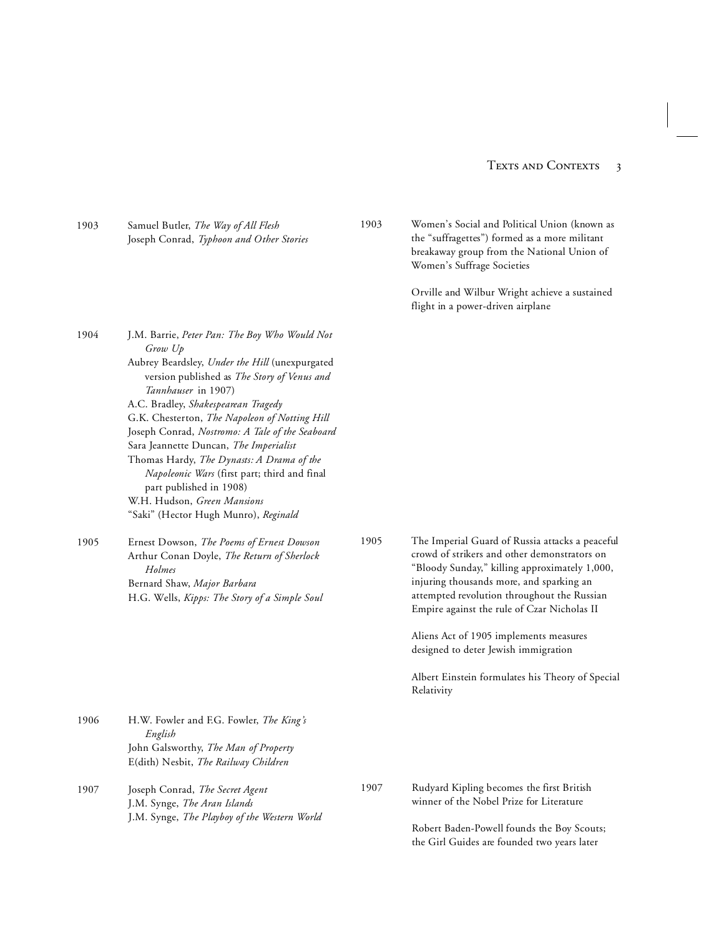#### TEXTS AND CONTEXTS 3

1903 Samuel Butler, *The Way of All Flesh* Joseph Conrad, *Typhoon and Other Stories*

1904 J.M. Barrie, *Peter Pan: The Boy Who Would Not Grow Up* Aubrey Beardsley, *Under the Hill* (unexpurgated version published as *The Story of Venus and Tannhauser* in 1907) A.C. Bradley, *Shakespearean Tragedy* G.K. Chesterton, *The Napoleon of Notting Hill*

Joseph Conrad, *Nostromo: A Tale of the Seaboard* Sara Jeannette Duncan, *The Imperialist* Thomas Hardy, *The Dynasts: A Drama of the Napoleonic Wars* (first part; third and final part published in 1908) W.H. Hudson, *Green Mansions* "Saki" (Hector Hugh Munro), *Reginald*

1905 Ernest Dowson, *The Poems of Ernest Dowson*

Arthur Conan Doyle, *The Return of Sherlock Holmes* Bernard Shaw, *Major Barbara* H.G. Wells, *Kipps: The Story of a Simple Soul*

1906 H.W. Fowler and F.G. Fowler, *The King's English* John Galsworthy, *The Man of Property* E(dith) Nesbit, *The Railway Children*

1907 Joseph Conrad, *The Secret Agent* J.M. Synge, *The Aran Islands* J.M. Synge, *The Playboy of the Western World* 1903 Women's Social and Political Union (known as the "suffragettes") formed as a more militant breakaway group from the National Union of Women's Suffrage Societies

> Orville and Wilbur Wright achieve a sustained flight in a power-driven airplane

1905 The Imperial Guard of Russia attacks a peaceful crowd of strikers and other demonstrators on "Bloody Sunday," killing approximately 1,000, injuring thousands more, and sparking an attempted revolution throughout the Russian Empire against the rule of Czar Nicholas II

> Aliens Act of 1905 implements measures designed to deter Jewish immigration

Albert Einstein formulates his Theory of Special Relativity

1907 Rudyard Kipling becomes the first British winner of the Nobel Prize for Literature

> Robert Baden-Powell founds the Boy Scouts; the Girl Guides are founded two years later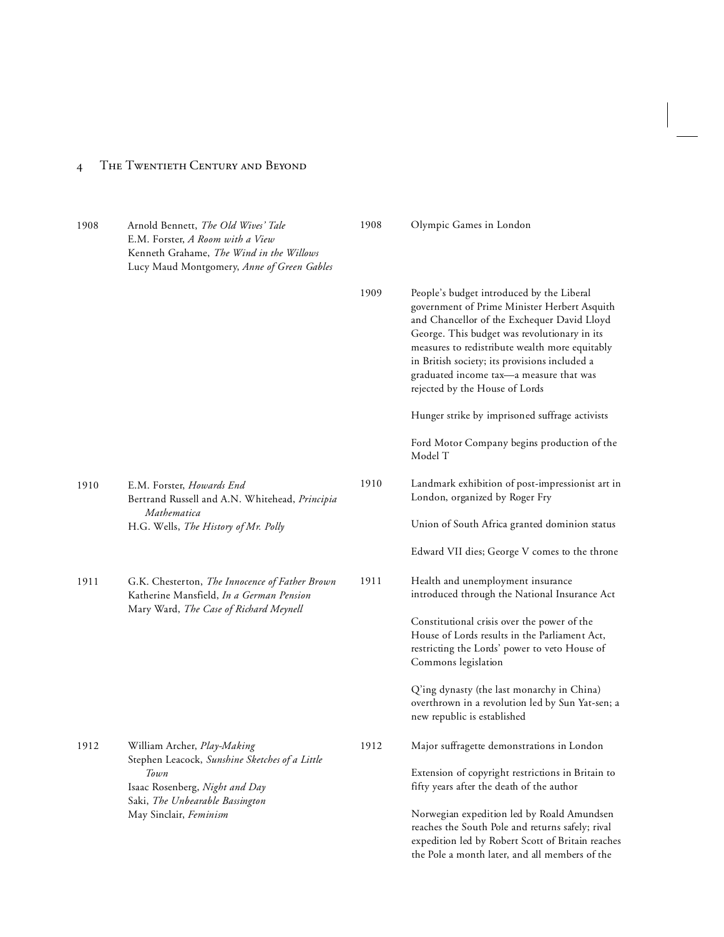| 1908 | Arnold Bennett, The Old Wives' Tale<br>E.M. Forster, A Room with a View<br>Kenneth Grahame, The Wind in the Willows<br>Lucy Maud Montgomery, Anne of Green Gables | 1908 | Olympic Games in London                                                                                                                                                                                                                                                                                                                                                  |
|------|-------------------------------------------------------------------------------------------------------------------------------------------------------------------|------|--------------------------------------------------------------------------------------------------------------------------------------------------------------------------------------------------------------------------------------------------------------------------------------------------------------------------------------------------------------------------|
|      |                                                                                                                                                                   | 1909 | People's budget introduced by the Liberal<br>government of Prime Minister Herbert Asquith<br>and Chancellor of the Exchequer David Lloyd<br>George. This budget was revolutionary in its<br>measures to redistribute wealth more equitably<br>in British society; its provisions included a<br>graduated income tax-a measure that was<br>rejected by the House of Lords |
|      |                                                                                                                                                                   |      | Hunger strike by imprisoned suffrage activists                                                                                                                                                                                                                                                                                                                           |
|      |                                                                                                                                                                   |      | Ford Motor Company begins production of the<br>Model T                                                                                                                                                                                                                                                                                                                   |
| 1910 | E.M. Forster, Howards End<br>Bertrand Russell and A.N. Whitehead, Principia                                                                                       | 1910 | Landmark exhibition of post-impressionist art in<br>London, organized by Roger Fry                                                                                                                                                                                                                                                                                       |
|      | Mathematica<br>H.G. Wells, The History of Mr. Polly                                                                                                               |      | Union of South Africa granted dominion status                                                                                                                                                                                                                                                                                                                            |
|      |                                                                                                                                                                   |      | Edward VII dies; George V comes to the throne                                                                                                                                                                                                                                                                                                                            |
| 1911 | G.K. Chesterton, The Innocence of Father Brown<br>Katherine Mansfield, In a German Pension                                                                        | 1911 | Health and unemployment insurance<br>introduced through the National Insurance Act                                                                                                                                                                                                                                                                                       |
|      | Mary Ward, The Case of Richard Meynell                                                                                                                            |      | Constitutional crisis over the power of the<br>House of Lords results in the Parliament Act,<br>restricting the Lords' power to veto House of<br>Commons legislation                                                                                                                                                                                                     |
|      |                                                                                                                                                                   |      | Q'ing dynasty (the last monarchy in China)<br>overthrown in a revolution led by Sun Yat-sen; a<br>new republic is established                                                                                                                                                                                                                                            |
| 1912 | William Archer, Play-Making                                                                                                                                       | 1912 | Major suffragette demonstrations in London                                                                                                                                                                                                                                                                                                                               |
|      | Stephen Leacock, Sunshine Sketches of a Little<br>Town<br>Isaac Rosenberg, Night and Day                                                                          |      | Extension of copyright restrictions in Britain to<br>fifty years after the death of the author                                                                                                                                                                                                                                                                           |
|      | Saki, The Unbearable Bassington<br>May Sinclair, Feminism                                                                                                         |      | Norwegian expedition led by Roald Amundsen<br>reaches the South Pole and returns safely; rival<br>expedition led by Robert Scott of Britain reaches<br>the Pole a month later, and all members of the                                                                                                                                                                    |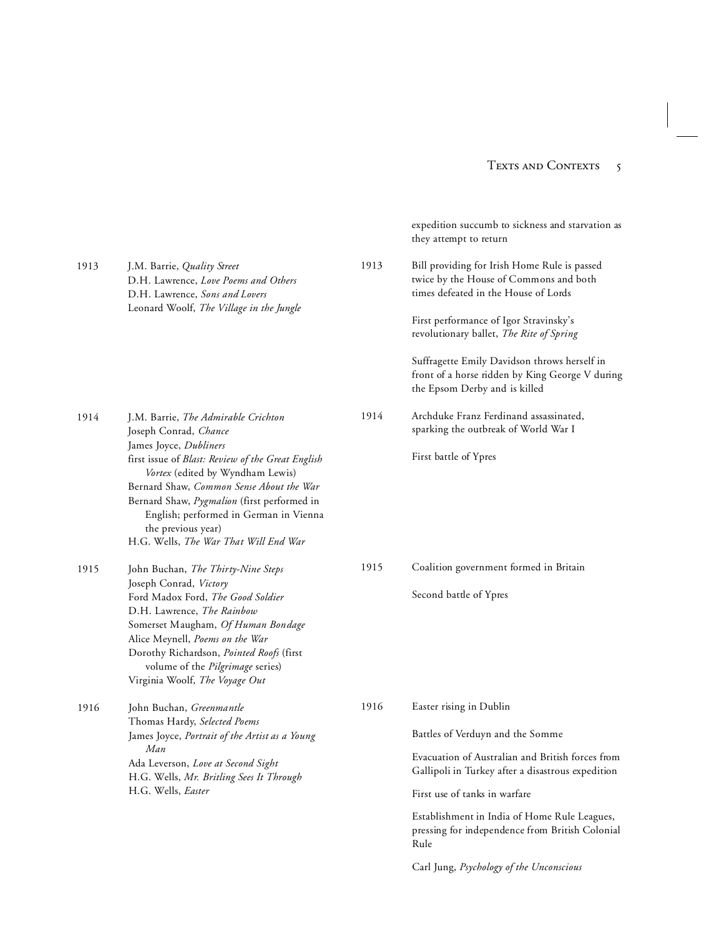|      |                                                                                                                                                                                                                                                                                                                     |      | expedition succumb to sickness and starvation as<br>they attempt to return                                                       |
|------|---------------------------------------------------------------------------------------------------------------------------------------------------------------------------------------------------------------------------------------------------------------------------------------------------------------------|------|----------------------------------------------------------------------------------------------------------------------------------|
| 1913 | J.M. Barrie, Quality Street<br>D.H. Lawrence, Love Poems and Others<br>D.H. Lawrence, Sons and Lovers                                                                                                                                                                                                               | 1913 | Bill providing for Irish Home Rule is passed<br>twice by the House of Commons and both<br>times defeated in the House of Lords   |
|      | Leonard Woolf, The Village in the Jungle                                                                                                                                                                                                                                                                            |      | First performance of Igor Stravinsky's<br>revolutionary ballet, The Rite of Spring                                               |
|      |                                                                                                                                                                                                                                                                                                                     |      | Suffragette Emily Davidson throws herself in<br>front of a horse ridden by King George V during<br>the Epsom Derby and is killed |
| 1914 | J.M. Barrie, The Admirable Crichton<br>Joseph Conrad, Chance                                                                                                                                                                                                                                                        | 1914 | Archduke Franz Ferdinand assassinated,<br>sparking the outbreak of World War I                                                   |
|      | James Joyce, Dubliners<br>first issue of Blast: Review of the Great English<br>Vortex (edited by Wyndham Lewis)<br>Bernard Shaw, Common Sense About the War<br>Bernard Shaw, Pygmalion (first performed in<br>English; performed in German in Vienna<br>the previous year)<br>H.G. Wells, The War That Will End War |      | First battle of Ypres                                                                                                            |
| 1915 | John Buchan, The Thirty-Nine Steps                                                                                                                                                                                                                                                                                  | 1915 | Coalition government formed in Britain                                                                                           |
|      | Joseph Conrad, Victory<br>Ford Madox Ford, The Good Soldier<br>D.H. Lawrence, The Rainbow<br>Somerset Maugham, Of Human Bondage<br>Alice Meynell, Poems on the War<br>Dorothy Richardson, Pointed Roofs (first<br>volume of the Pilgrimage series)<br>Virginia Woolf, The Voyage Out                                |      | Second battle of Ypres                                                                                                           |
| 1916 | John Buchan, Greenmantle                                                                                                                                                                                                                                                                                            | 1916 | Easter rising in Dublin                                                                                                          |
|      | Thomas Hardy, Selected Poems<br>James Joyce, Portrait of the Artist as a Young                                                                                                                                                                                                                                      |      | Battles of Verduyn and the Somme                                                                                                 |
|      | Man<br>Ada Leverson, Love at Second Sight<br>H.G. Wells, Mr. Britling Sees It Through                                                                                                                                                                                                                               |      | Evacuation of Australian and British forces from<br>Gallipoli in Turkey after a disastrous expedition                            |
|      | H.G. Wells, Easter                                                                                                                                                                                                                                                                                                  |      | First use of tanks in warfare                                                                                                    |
|      |                                                                                                                                                                                                                                                                                                                     |      | Establishment in India of Home Rule Leagues,<br>pressing for independence from British Colonial<br>Rule                          |
|      |                                                                                                                                                                                                                                                                                                                     |      | Carl Jung, Psychology of the Unconscious                                                                                         |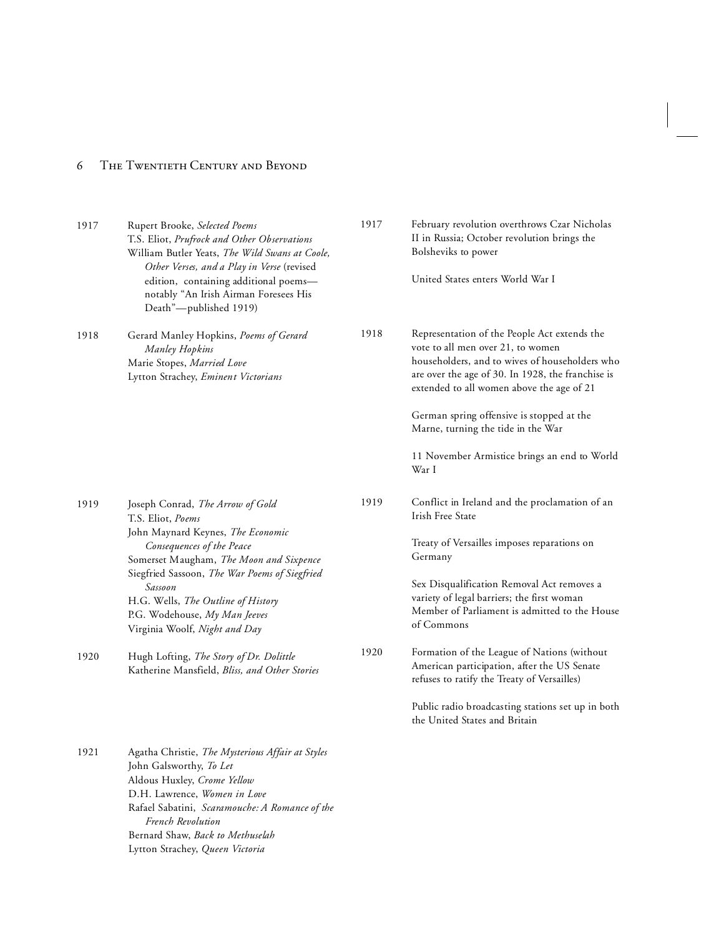| 1917 | Rupert Brooke, Selected Poems<br>T.S. Eliot, Prufrock and Other Observations<br>William Butler Yeats, The Wild Swans at Coole,<br>Other Verses, and a Play in Verse (revised<br>edition, containing additional poems-<br>notably "An Irish Airman Foresees His<br>Death"-published 1919)                                               | 1917 | February revolution overthrows Czar Nicholas<br>II in Russia; October revolution brings the<br>Bolsheviks to power<br>United States enters World War I                                                                                                                                                                                                                            |
|------|----------------------------------------------------------------------------------------------------------------------------------------------------------------------------------------------------------------------------------------------------------------------------------------------------------------------------------------|------|-----------------------------------------------------------------------------------------------------------------------------------------------------------------------------------------------------------------------------------------------------------------------------------------------------------------------------------------------------------------------------------|
| 1918 | Gerard Manley Hopkins, Poems of Gerard<br>Manley Hopkins<br>Marie Stopes, Married Love<br>Lytton Strachey, Eminent Victorians                                                                                                                                                                                                          | 1918 | Representation of the People Act extends the<br>vote to all men over 21, to women<br>householders, and to wives of householders who<br>are over the age of 30. In 1928, the franchise is<br>extended to all women above the age of 21<br>German spring offensive is stopped at the<br>Marne, turning the tide in the War<br>11 November Armistice brings an end to World<br>War I |
| 1919 | Joseph Conrad, The Arrow of Gold<br>T.S. Eliot, Poems<br>John Maynard Keynes, The Economic<br>Consequences of the Peace<br>Somerset Maugham, The Moon and Sixpence<br>Siegfried Sassoon, The War Poems of Siegfried<br>Sassoon<br>H.G. Wells, The Outline of History<br>P.G. Wodehouse, My Man Jeeves<br>Virginia Woolf, Night and Day | 1919 | Conflict in Ireland and the proclamation of an<br>Irish Free State<br>Treaty of Versailles imposes reparations on<br>Germany<br>Sex Disqualification Removal Act removes a<br>variety of legal barriers; the first woman<br>Member of Parliament is admitted to the House<br>of Commons                                                                                           |
| 1920 | Hugh Lofting, The Story of Dr. Dolittle<br>Katherine Mansfield, Bliss, and Other Stories                                                                                                                                                                                                                                               | 1920 | Formation of the League of Nations (without<br>American participation, after the US Senate<br>refuses to ratify the Treaty of Versailles)<br>Public radio broadcasting stations set up in both<br>the United States and Britain                                                                                                                                                   |
| 1921 | Agatha Christie, The Mysterious Affair at Styles<br>John Galsworthy, To Let<br>Aldous Huxley, Crome Yellow                                                                                                                                                                                                                             |      |                                                                                                                                                                                                                                                                                                                                                                                   |

D.H. Lawrence, *Women in Love*

Rafael Sabatini, *Scaramouche: A Romance of the French Revolution*

- Bernard Shaw, *Back to Methuselah*
- Lytton Strachey, *Queen Victoria*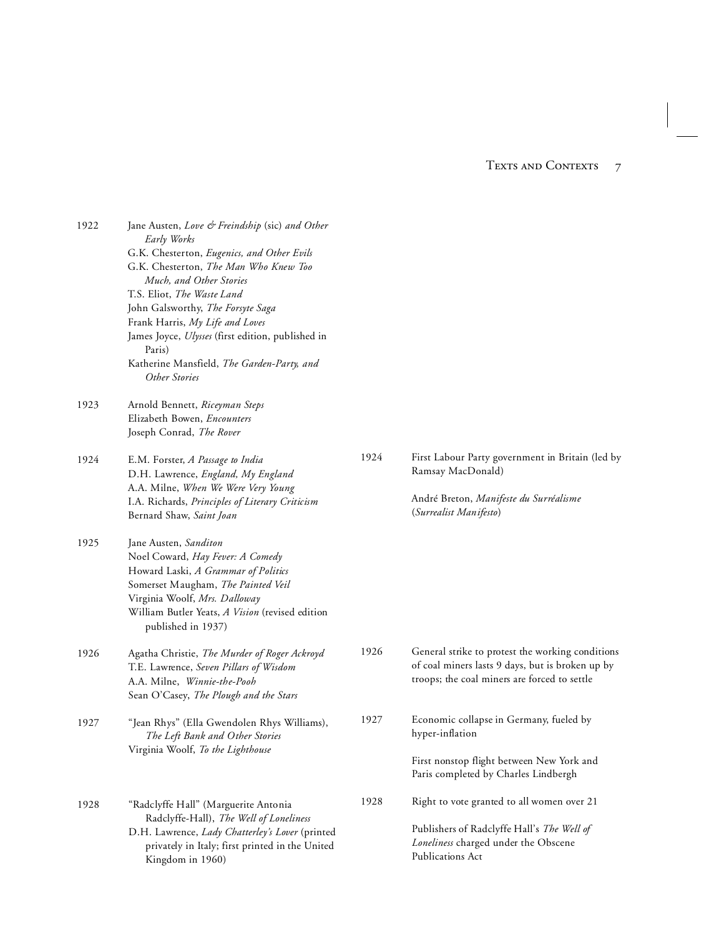1922 Jane Austen, *Love & Freindship* (sic) *and Other Early Works* G.K. Chesterton, *Eugenics, and Other Evils* G.K. Chesterton, *The Man Who Knew Too Much, and Other Stories* T.S. Eliot, *The Waste Land* John Galsworthy, *The Forsyte Saga* Frank Harris, *My Life and Loves* James Joyce, *Ulysses* (first edition, published in Paris) Katherine Mansfield, *The Garden-Party, and Other Stories* 1923 Arnold Bennett, *Riceyman Steps* Elizabeth Bowen, *Encounters* Joseph Conrad, *The Rover* 1924 E.M. Forster, *A Passage to India* D.H. Lawrence, *England, My England* A.A. Milne, *When We Were Very Young* I.A. Richards, *Principles of Literary Criticism*  Bernard Shaw, *Saint Joan* 1925 Jane Austen, *Sanditon* Noel Coward, *Hay Fever: A Comedy* Howard Laski, *A Grammar of Politics* Somerset Maugham, *The Painted Veil* Virginia Woolf, *Mrs. Dalloway* William Butler Yeats, *A Vision* (revised edition published in 1937) 1926 Agatha Christie, *The Murder of Roger Ackroyd* T.E. Lawrence, *Seven Pillars of Wisdom* A.A. Milne, *Winnie-the-Pooh* Sean O'Casey, *The Plough and the Stars* 1927 "Jean Rhys" (Ella Gwendolen Rhys Williams), *The Left Bank and Other Stories* Virginia Woolf, *To the Lighthouse* 1928 "Radclyffe Hall" (Marguerite Antonia Radclyffe-Hall), *The Well of Loneliness* D.H. Lawrence, *Lady Chatterley's Lover* (printed privately in Italy; first printed in the United Kingdom in 1960) Ramsay MacDonald) hyper-inflation Publications Act

- 
- 1924 First Labour Party government in Britain (led by

André Breton, *Manifeste du Surréalisme* (*Surrealist Manifesto*)

- 1926 General strike to protest the working conditions of coal miners lasts 9 days, but is broken up by troops; the coal miners are forced to settle
- 1927 Economic collapse in Germany, fueled by

First nonstop flight between New York and Paris completed by Charles Lindbergh

1928 Right to vote granted to all women over 21

Publishers of Radclyffe Hall's *The Well of Loneliness* charged under the Obscene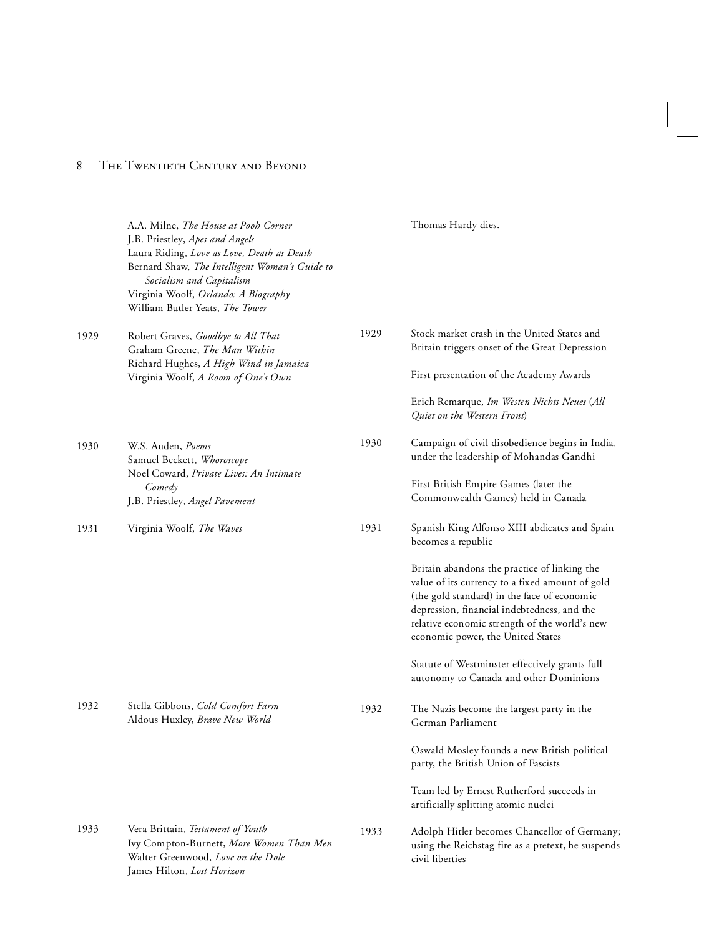|      | A.A. Milne, The House at Pooh Corner<br>J.B. Priestley, Apes and Angels<br>Laura Riding, Love as Love, Death as Death<br>Bernard Shaw, The Intelligent Woman's Guide to<br>Socialism and Capitalism<br>Virginia Woolf, Orlando: A Biography<br>William Butler Yeats, The Tower |      | Thomas Hardy dies.                                                                                                                                                                                                                                                                                                                                                                                                                                     |
|------|--------------------------------------------------------------------------------------------------------------------------------------------------------------------------------------------------------------------------------------------------------------------------------|------|--------------------------------------------------------------------------------------------------------------------------------------------------------------------------------------------------------------------------------------------------------------------------------------------------------------------------------------------------------------------------------------------------------------------------------------------------------|
| 1929 | Robert Graves, Goodbye to All That<br>Graham Greene, The Man Within<br>Richard Hughes, A High Wind in Jamaica<br>Virginia Woolf, A Room of One's Own                                                                                                                           | 1929 | Stock market crash in the United States and<br>Britain triggers onset of the Great Depression<br>First presentation of the Academy Awards<br>Erich Remarque, Im Westen Nichts Neues (All                                                                                                                                                                                                                                                               |
| 1930 | W.S. Auden, Poems<br>Samuel Beckett, Whoroscope<br>Noel Coward, Private Lives: An Intimate<br>Comedy<br>J.B. Priestley, Angel Pavement                                                                                                                                         | 1930 | Quiet on the Western Front)<br>Campaign of civil disobedience begins in India,<br>under the leadership of Mohandas Gandhi<br>First British Empire Games (later the<br>Commonwealth Games) held in Canada                                                                                                                                                                                                                                               |
| 1931 | Virginia Woolf, The Waves                                                                                                                                                                                                                                                      | 1931 | Spanish King Alfonso XIII abdicates and Spain<br>becomes a republic<br>Britain abandons the practice of linking the<br>value of its currency to a fixed amount of gold<br>(the gold standard) in the face of economic<br>depression, financial indebtedness, and the<br>relative economic strength of the world's new<br>economic power, the United States<br>Statute of Westminster effectively grants full<br>autonomy to Canada and other Dominions |
| 1932 | Stella Gibbons, Cold Comfort Farm<br>Aldous Huxley, Brave New World                                                                                                                                                                                                            | 1932 | The Nazis become the largest party in the<br>German Parliament<br>Oswald Mosley founds a new British political<br>party, the British Union of Fascists<br>Team led by Ernest Rutherford succeeds in<br>artificially splitting atomic nuclei                                                                                                                                                                                                            |
| 1933 | Vera Brittain, Testament of Youth<br>Ivy Compton-Burnett, More Women Than Men<br>Walter Greenwood, Love on the Dole<br>James Hilton, Lost Horizon                                                                                                                              | 1933 | Adolph Hitler becomes Chancellor of Germany;<br>using the Reichstag fire as a pretext, he suspends<br>civil liberties                                                                                                                                                                                                                                                                                                                                  |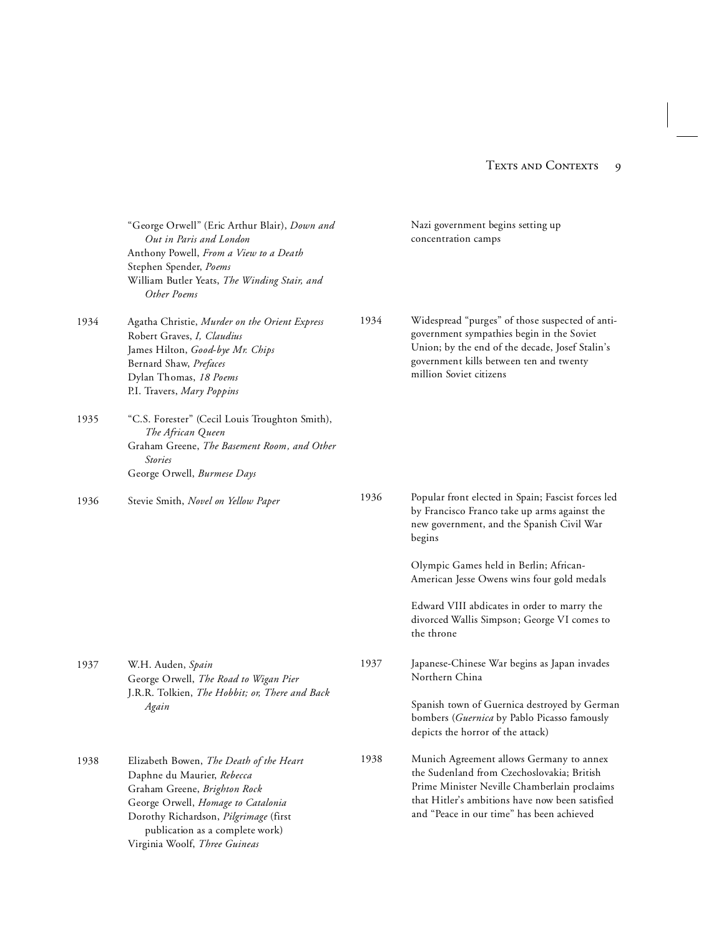|      | "George Orwell" (Eric Arthur Blair), Down and<br>Out in Paris and London<br>Anthony Powell, From a View to a Death<br>Stephen Spender, Poems<br>William Butler Yeats, The Winding Stair, and<br>Other Poems                                              |      | Nazi government begins setting up<br>concentration camps                                                                                                                                                                               |
|------|----------------------------------------------------------------------------------------------------------------------------------------------------------------------------------------------------------------------------------------------------------|------|----------------------------------------------------------------------------------------------------------------------------------------------------------------------------------------------------------------------------------------|
| 1934 | Agatha Christie, Murder on the Orient Express<br>Robert Graves, I, Claudius<br>James Hilton, Good-bye Mr. Chips<br>Bernard Shaw, Prefaces<br>Dylan Thomas, 18 Poems<br>P.I. Travers, Mary Poppins                                                        | 1934 | Widespread "purges" of those suspected of anti-<br>government sympathies begin in the Soviet<br>Union; by the end of the decade, Josef Stalin's<br>government kills between ten and twenty<br>million Soviet citizens                  |
| 1935 | "C.S. Forester" (Cecil Louis Troughton Smith),<br>The African Queen<br>Graham Greene, The Basement Room, and Other<br><i>Stories</i><br>George Orwell, Burmese Days                                                                                      |      |                                                                                                                                                                                                                                        |
| 1936 | Stevie Smith, Novel on Yellow Paper                                                                                                                                                                                                                      | 1936 | Popular front elected in Spain; Fascist forces led<br>by Francisco Franco take up arms against the<br>new government, and the Spanish Civil War<br>begins                                                                              |
|      |                                                                                                                                                                                                                                                          |      | Olympic Games held in Berlin; African-<br>American Jesse Owens wins four gold medals                                                                                                                                                   |
|      |                                                                                                                                                                                                                                                          |      | Edward VIII abdicates in order to marry the<br>divorced Wallis Simpson; George VI comes to<br>the throne                                                                                                                               |
| 1937 | W.H. Auden, Spain<br>George Orwell, The Road to Wigan Pier<br>J.R.R. Tolkien, The Hobbit; or, There and Back<br>Again                                                                                                                                    | 1937 | Japanese-Chinese War begins as Japan invades<br>Northern China<br>Spanish town of Guernica destroyed by German                                                                                                                         |
|      |                                                                                                                                                                                                                                                          |      | bombers (Guernica by Pablo Picasso famously<br>depicts the horror of the attack)                                                                                                                                                       |
| 1938 | Elizabeth Bowen, The Death of the Heart<br>Daphne du Maurier, Rebecca<br>Graham Greene, Brighton Rock<br>George Orwell, Homage to Catalonia<br>Dorothy Richardson, Pilgrimage (first<br>publication as a complete work)<br>Virginia Woolf, Three Guineas | 1938 | Munich Agreement allows Germany to annex<br>the Sudenland from Czechoslovakia; British<br>Prime Minister Neville Chamberlain proclaims<br>that Hitler's ambitions have now been satisfied<br>and "Peace in our time" has been achieved |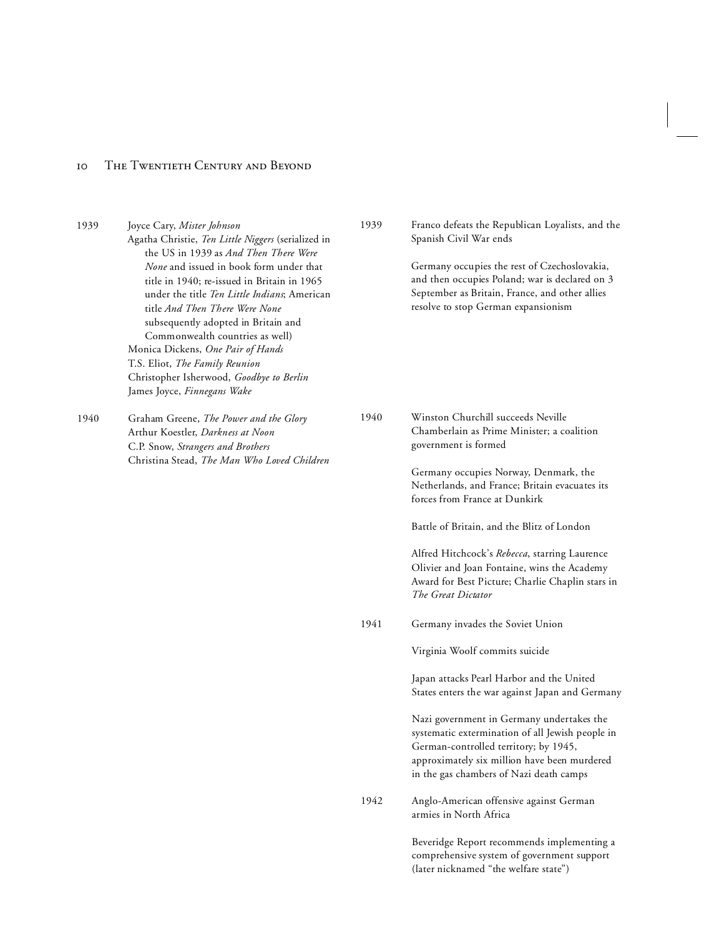| 1939 | Joyce Cary, Mister Johnson<br>Agatha Christie, Ten Little Niggers (serialized in<br>the US in 1939 as And Then There Were<br>None and issued in book form under that<br>title in 1940; re-issued in Britain in 1965<br>under the title Ten Little Indians; American<br>title And Then There Were None<br>subsequently adopted in Britain and<br>Commonwealth countries as well)<br>Monica Dickens, One Pair of Hands<br>T.S. Eliot, The Family Reunion<br>Christopher Isherwood, Goodbye to Berlin<br>James Joyce, Finnegans Wake | 1939 | Franco defeats the Republican Loyalists, and the<br>Spanish Civil War ends                                                                                                                                                        |
|------|-----------------------------------------------------------------------------------------------------------------------------------------------------------------------------------------------------------------------------------------------------------------------------------------------------------------------------------------------------------------------------------------------------------------------------------------------------------------------------------------------------------------------------------|------|-----------------------------------------------------------------------------------------------------------------------------------------------------------------------------------------------------------------------------------|
|      |                                                                                                                                                                                                                                                                                                                                                                                                                                                                                                                                   |      | Germany occupies the rest of Czechoslovakia,<br>and then occupies Poland; war is declared on 3<br>September as Britain, France, and other allies<br>resolve to stop German expansionism                                           |
| 1940 | Graham Greene, The Power and the Glory<br>Arthur Koestler, Darkness at Noon<br>C.P. Snow, Strangers and Brothers<br>Christina Stead, The Man Who Loved Children                                                                                                                                                                                                                                                                                                                                                                   | 1940 | Winston Churchill succeeds Neville<br>Chamberlain as Prime Minister; a coalition<br>government is formed                                                                                                                          |
|      |                                                                                                                                                                                                                                                                                                                                                                                                                                                                                                                                   |      | Germany occupies Norway, Denmark, the<br>Netherlands, and France; Britain evacuates its<br>forces from France at Dunkirk                                                                                                          |
|      |                                                                                                                                                                                                                                                                                                                                                                                                                                                                                                                                   |      | Battle of Britain, and the Blitz of London                                                                                                                                                                                        |
|      |                                                                                                                                                                                                                                                                                                                                                                                                                                                                                                                                   |      | Alfred Hitchcock's Rebecca, starring Laurence<br>Olivier and Joan Fontaine, wins the Academy<br>Award for Best Picture; Charlie Chaplin stars in<br>The Great Dictator                                                            |
|      |                                                                                                                                                                                                                                                                                                                                                                                                                                                                                                                                   | 1941 | Germany invades the Soviet Union                                                                                                                                                                                                  |
|      |                                                                                                                                                                                                                                                                                                                                                                                                                                                                                                                                   |      | Virginia Woolf commits suicide                                                                                                                                                                                                    |
|      |                                                                                                                                                                                                                                                                                                                                                                                                                                                                                                                                   |      | Japan attacks Pearl Harbor and the United<br>States enters the war against Japan and Germany                                                                                                                                      |
|      |                                                                                                                                                                                                                                                                                                                                                                                                                                                                                                                                   |      | Nazi government in Germany undertakes the<br>systematic extermination of all Jewish people in<br>German-controlled territory; by 1945,<br>approximately six million have been murdered<br>in the gas chambers of Nazi death camps |
|      |                                                                                                                                                                                                                                                                                                                                                                                                                                                                                                                                   | 1942 | Anglo-American offensive against German<br>armies in North Africa                                                                                                                                                                 |
|      |                                                                                                                                                                                                                                                                                                                                                                                                                                                                                                                                   |      | Beveridge Report recommends implementing a<br>comprehensive system of government support                                                                                                                                          |

(later nicknamed "the welfare state")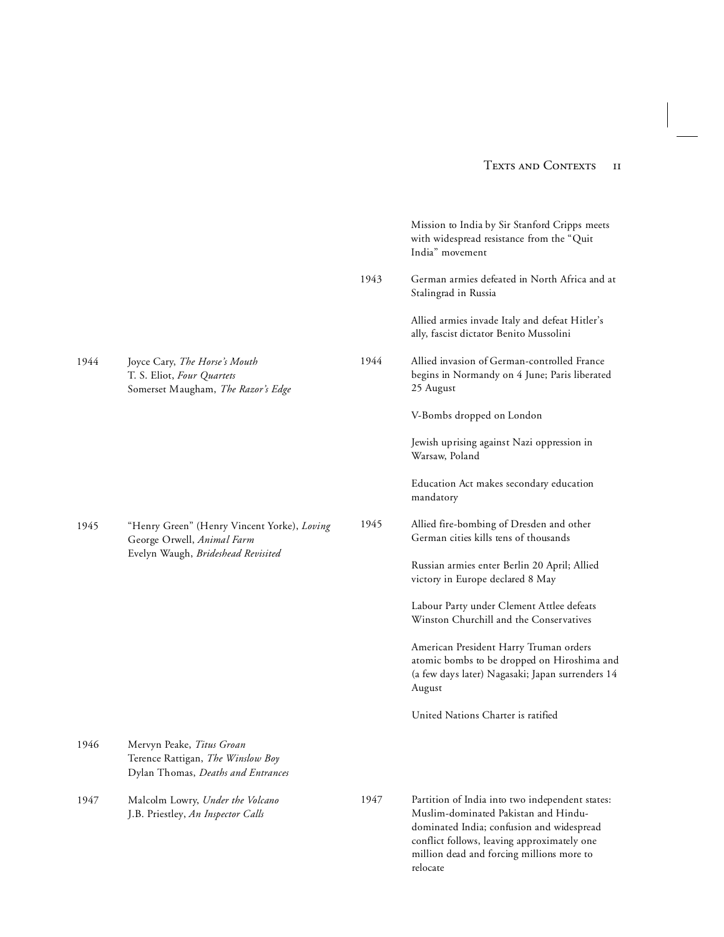|      |                                                                                                                 |      | Mission to India by Sir Stanford Cripps meets<br>with widespread resistance from the "Quit<br>India" movement                                                                                                                                |
|------|-----------------------------------------------------------------------------------------------------------------|------|----------------------------------------------------------------------------------------------------------------------------------------------------------------------------------------------------------------------------------------------|
|      |                                                                                                                 | 1943 | German armies defeated in North Africa and at<br>Stalingrad in Russia                                                                                                                                                                        |
|      |                                                                                                                 |      | Allied armies invade Italy and defeat Hitler's<br>ally, fascist dictator Benito Mussolini                                                                                                                                                    |
| 1944 | Joyce Cary, The Horse's Mouth<br>T. S. Eliot, Four Quartets<br>Somerset Maugham, The Razor's Edge               | 1944 | Allied invasion of German-controlled France<br>begins in Normandy on 4 June; Paris liberated<br>25 August                                                                                                                                    |
|      |                                                                                                                 |      | V-Bombs dropped on London                                                                                                                                                                                                                    |
|      |                                                                                                                 |      | Jewish uprising against Nazi oppression in<br>Warsaw, Poland                                                                                                                                                                                 |
|      |                                                                                                                 |      | Education Act makes secondary education<br>mandatory                                                                                                                                                                                         |
| 1945 | "Henry Green" (Henry Vincent Yorke), Loving<br>George Orwell, Animal Farm<br>Evelyn Waugh, Brideshead Revisited | 1945 | Allied fire-bombing of Dresden and other<br>German cities kills tens of thousands                                                                                                                                                            |
|      |                                                                                                                 |      | Russian armies enter Berlin 20 April; Allied<br>victory in Europe declared 8 May                                                                                                                                                             |
|      |                                                                                                                 |      | Labour Party under Clement Attlee defeats<br>Winston Churchill and the Conservatives                                                                                                                                                         |
|      |                                                                                                                 |      | American President Harry Truman orders<br>atomic bombs to be dropped on Hiroshima and<br>(a few days later) Nagasaki; Japan surrenders 14<br>August                                                                                          |
|      |                                                                                                                 |      | United Nations Charter is ratified                                                                                                                                                                                                           |
| 1946 | Mervyn Peake, Titus Groan<br>Terence Rattigan, The Winslow Boy<br>Dylan Thomas, Deaths and Entrances            |      |                                                                                                                                                                                                                                              |
| 1947 | Malcolm Lowry, Under the Volcano<br>J.B. Priestley, An Inspector Calls                                          | 1947 | Partition of India into two independent states:<br>Muslim-dominated Pakistan and Hindu-<br>dominated India; confusion and widespread<br>conflict follows, leaving approximately one<br>million dead and forcing millions more to<br>relocate |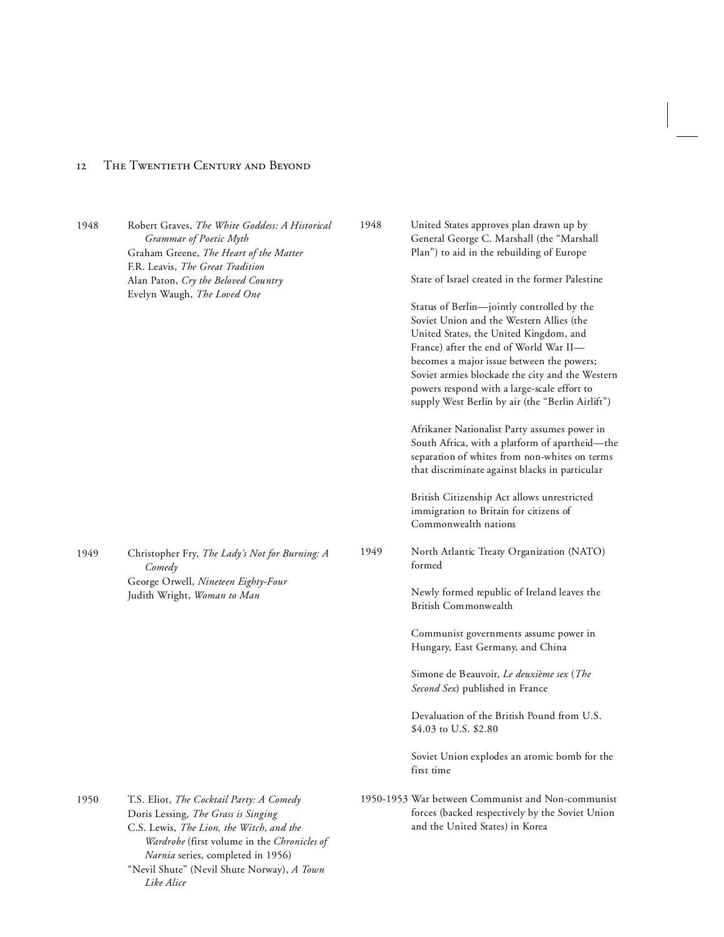*Like Alice*

| 1948 | Robert Graves, The White Goddess: A Historical<br>Grammar of Poetic Myth<br>Graham Greene, The Heart of the Matter<br>F.R. Leavis, The Great Tradition<br>Alan Paton, Cry the Beloved Country<br>Evelyn Waugh, The Loved One                                  | 1948 | United States approves plan drawn up by<br>General George C. Marshall (the "Marshall<br>Plan") to aid in the rebuilding of Europe<br>State of Israel created in the former Palestine<br>Status of Berlin—jointly controlled by the<br>Soviet Union and the Western Allies (the<br>United States, the United Kingdom, and<br>France) after the end of World War II-<br>becomes a major issue between the powers;<br>Soviet armies blockade the city and the Western<br>powers respond with a large-scale effort to<br>supply West Berlin by air (the "Berlin Airlift") |
|------|---------------------------------------------------------------------------------------------------------------------------------------------------------------------------------------------------------------------------------------------------------------|------|-----------------------------------------------------------------------------------------------------------------------------------------------------------------------------------------------------------------------------------------------------------------------------------------------------------------------------------------------------------------------------------------------------------------------------------------------------------------------------------------------------------------------------------------------------------------------|
|      |                                                                                                                                                                                                                                                               |      | Afrikaner Nationalist Party assumes power in<br>South Africa, with a platform of apartheid-the<br>separation of whites from non-whites on terms<br>that discriminate against blacks in particular                                                                                                                                                                                                                                                                                                                                                                     |
|      |                                                                                                                                                                                                                                                               |      | British Citizenship Act allows unrestricted<br>immigration to Britain for citizens of<br>Commonwealth nations                                                                                                                                                                                                                                                                                                                                                                                                                                                         |
| 1949 | Christopher Fry, The Lady's Not for Burning: A<br>Comedy<br>George Orwell, Nineteen Eighty-Four<br>Judith Wright, Woman to Man                                                                                                                                | 1949 | North Atlantic Treaty Organization (NATO)<br>formed                                                                                                                                                                                                                                                                                                                                                                                                                                                                                                                   |
|      |                                                                                                                                                                                                                                                               |      | Newly formed republic of Ireland leaves the<br>British Commonwealth                                                                                                                                                                                                                                                                                                                                                                                                                                                                                                   |
|      |                                                                                                                                                                                                                                                               |      | Communist governments assume power in<br>Hungary, East Germany, and China                                                                                                                                                                                                                                                                                                                                                                                                                                                                                             |
|      |                                                                                                                                                                                                                                                               |      | Simone de Beauvoir, Le deuxième sex (The<br>Second Sex) published in France                                                                                                                                                                                                                                                                                                                                                                                                                                                                                           |
|      |                                                                                                                                                                                                                                                               |      | Devaluation of the British Pound from U.S.<br>\$4.03 to U.S. \$2.80                                                                                                                                                                                                                                                                                                                                                                                                                                                                                                   |
|      |                                                                                                                                                                                                                                                               |      | Soviet Union explodes an atomic bomb for the<br>first time                                                                                                                                                                                                                                                                                                                                                                                                                                                                                                            |
| 1950 | T.S. Eliot, The Cocktail Party: A Comedy<br>Doris Lessing, The Grass is Singing<br>C.S. Lewis, The Lion, the Witch, and the<br>Wardrobe (first volume in the Chronicles of<br>Narnia series, completed in 1956)<br>"Nevil Shute" (Nevil Shute Norway), A Town |      | 1950-1953 War between Communist and Non-communist<br>forces (backed respectively by the Soviet Union<br>and the United States) in Korea                                                                                                                                                                                                                                                                                                                                                                                                                               |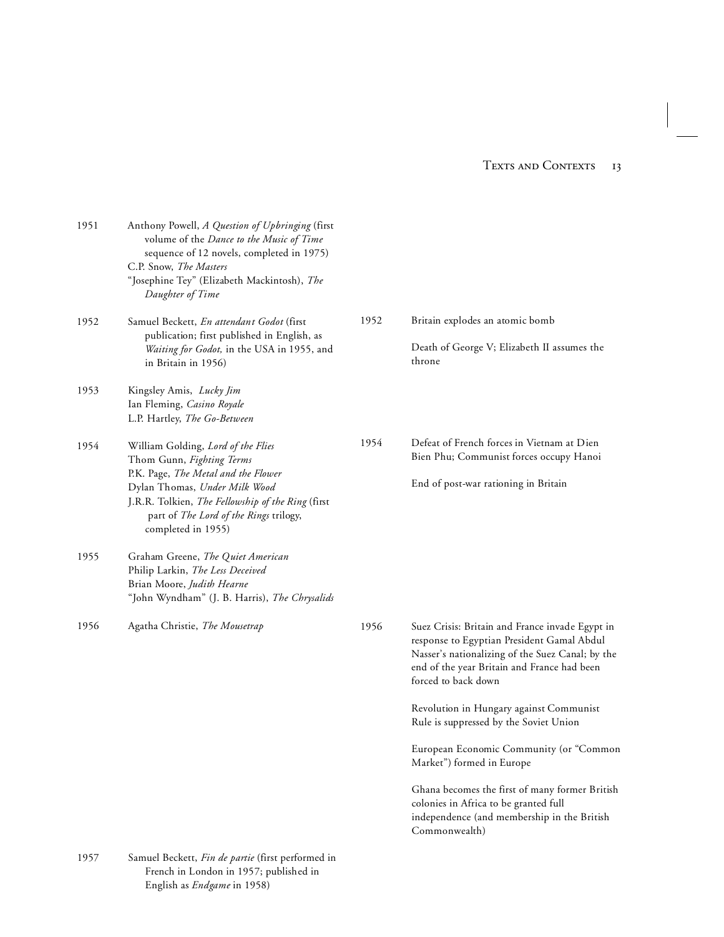| 1951 | Anthony Powell, A Question of Upbringing (first<br>volume of the Dance to the Music of Time<br>sequence of 12 novels, completed in 1975)<br>C.P. Snow, The Masters<br>"Josephine Tey" (Elizabeth Mackintosh), The<br>Daughter of Time |      |                                                                                                                                                                                                                         |
|------|---------------------------------------------------------------------------------------------------------------------------------------------------------------------------------------------------------------------------------------|------|-------------------------------------------------------------------------------------------------------------------------------------------------------------------------------------------------------------------------|
| 1952 | Samuel Beckett, En attendant Godot (first<br>publication; first published in English, as<br>Waiting for Godot, in the USA in 1955, and                                                                                                | 1952 | Britain explodes an atomic bomb<br>Death of George V; Elizabeth II assumes the                                                                                                                                          |
|      | in Britain in 1956)                                                                                                                                                                                                                   |      | throne                                                                                                                                                                                                                  |
| 1953 | Kingsley Amis, Lucky Jim<br>Ian Fleming, Casino Royale<br>L.P. Hartley, The Go-Between                                                                                                                                                |      |                                                                                                                                                                                                                         |
| 1954 | William Golding, Lord of the Flies<br>Thom Gunn, Fighting Terms                                                                                                                                                                       | 1954 | Defeat of French forces in Vietnam at Dien<br>Bien Phu; Communist forces occupy Hanoi                                                                                                                                   |
|      | P.K. Page, The Metal and the Flower<br>Dylan Thomas, Under Milk Wood<br>J.R.R. Tolkien, The Fellowship of the Ring (first<br>part of The Lord of the Rings trilogy,<br>completed in 1955)                                             |      | End of post-war rationing in Britain                                                                                                                                                                                    |
| 1955 | Graham Greene, The Quiet American<br>Philip Larkin, The Less Deceived<br>Brian Moore, Judith Hearne<br>"John Wyndham" (J. B. Harris), The Chrysalids                                                                                  |      |                                                                                                                                                                                                                         |
| 1956 | Agatha Christie, The Mousetrap                                                                                                                                                                                                        | 1956 | Suez Crisis: Britain and France invade Egypt in<br>response to Egyptian President Gamal Abdul<br>Nasser's nationalizing of the Suez Canal; by the<br>end of the year Britain and France had been<br>forced to back down |
|      |                                                                                                                                                                                                                                       |      | Revolution in Hungary against Communist<br>Rule is suppressed by the Soviet Union                                                                                                                                       |
|      |                                                                                                                                                                                                                                       |      | European Economic Community (or "Common<br>Market") formed in Europe                                                                                                                                                    |
|      |                                                                                                                                                                                                                                       |      | Ghana becomes the first of many former British<br>colonies in Africa to be granted full<br>independence (and membership in the British<br>Commonwealth)                                                                 |
| 1957 | Samuel Beckett, Fin de partie (first performed in<br>French in London in 1957; published in                                                                                                                                           |      |                                                                                                                                                                                                                         |

English as *Endgame* in 1958)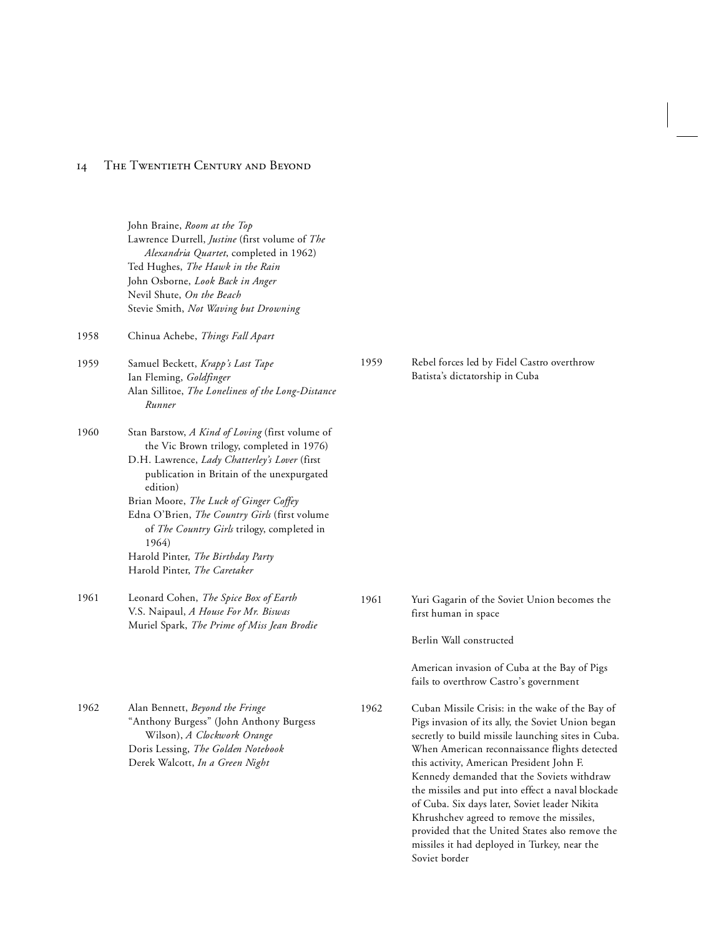|      | John Braine, Room at the Top<br>Lawrence Durrell, Justine (first volume of The<br>Alexandria Quartet, completed in 1962)<br>Ted Hughes, The Hawk in the Rain<br>John Osborne, Look Back in Anger<br>Nevil Shute, On the Beach<br>Stevie Smith, Not Waving but Drowning                                                                                                                                                                       |      |                                                                                                                                                                                                                                                                                                                                                             |
|------|----------------------------------------------------------------------------------------------------------------------------------------------------------------------------------------------------------------------------------------------------------------------------------------------------------------------------------------------------------------------------------------------------------------------------------------------|------|-------------------------------------------------------------------------------------------------------------------------------------------------------------------------------------------------------------------------------------------------------------------------------------------------------------------------------------------------------------|
| 1958 | Chinua Achebe, Things Fall Apart                                                                                                                                                                                                                                                                                                                                                                                                             |      |                                                                                                                                                                                                                                                                                                                                                             |
| 1959 | Samuel Beckett, Krapp's Last Tape<br>Ian Fleming, Goldfinger<br>Alan Sillitoe, The Loneliness of the Long-Distance<br>Runner                                                                                                                                                                                                                                                                                                                 | 1959 | Rebel forces led by Fidel Castro overthrow<br>Batista's dictatorship in Cuba                                                                                                                                                                                                                                                                                |
| 1960 | Stan Barstow, A Kind of Loving (first volume of<br>the Vic Brown trilogy, completed in 1976)<br>D.H. Lawrence, Lady Chatterley's Lover (first<br>publication in Britain of the unexpurgated<br>edition)<br>Brian Moore, The Luck of Ginger Coffey<br>Edna O'Brien, The Country Girls (first volume<br>of <i>The Country Girls</i> trilogy, completed in<br>1964)<br>Harold Pinter, The Birthday Party<br>Harold Pinter, <i>The Caretaker</i> |      |                                                                                                                                                                                                                                                                                                                                                             |
| 1961 | Leonard Cohen, The Spice Box of Earth<br>V.S. Naipaul, A House For Mr. Biswas<br>Muriel Spark, The Prime of Miss Jean Brodie                                                                                                                                                                                                                                                                                                                 | 1961 | Yuri Gagarin of the Soviet Union becomes the<br>first human in space<br>Berlin Wall constructed<br>American invasion of Cuba at the Bay of Pigs<br>fails to overthrow Castro's government                                                                                                                                                                   |
| 1962 | Alan Bennett, Beyond the Fringe<br>"Anthony Burgess" (John Anthony Burgess<br>Wilson), A Clockwork Orange<br>Doris Lessing, The Golden Notebook<br>Derek Walcott, In a Green Night                                                                                                                                                                                                                                                           | 1962 | Cuban Missile Crisis: in the wake of the Bay of<br>Pigs invasion of its ally, the Soviet Union began<br>secretly to build missile launching sites in Cuba.<br>When American reconnaissance flights detected<br>this activity, American President John F.<br>Kennedy demanded that the Soviets withdraw<br>the missiles and put into effect a naval blockade |

of Cuba. Six days later, Soviet leader Nikita Khrushchev agreed to remove the missiles, provided that the United States also remove the missiles it had deployed in Turkey, near the

Soviet border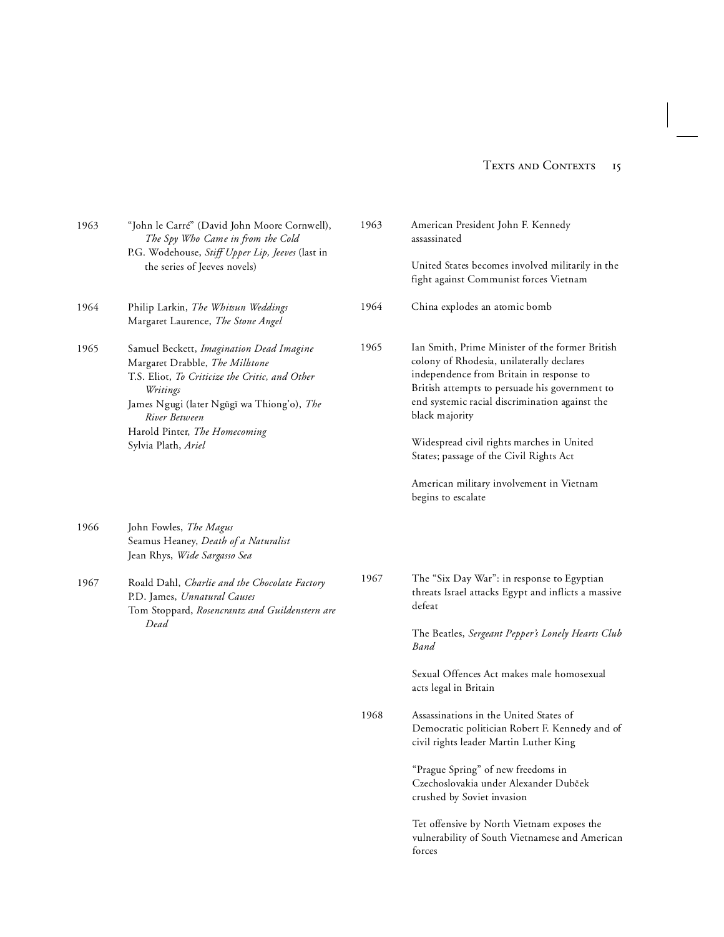| 1963 | "John le Carré" (David John Moore Cornwell),<br>The Spy Who Came in from the Cold<br>P.G. Wodehouse, Stiff Upper Lip, Jeeves (last in<br>the series of Jeeves novels)                                                                                            | 1963 | American President John F. Kennedy<br>assassinated                                                                                                                                                                                                                                                                                                                                                                       |
|------|------------------------------------------------------------------------------------------------------------------------------------------------------------------------------------------------------------------------------------------------------------------|------|--------------------------------------------------------------------------------------------------------------------------------------------------------------------------------------------------------------------------------------------------------------------------------------------------------------------------------------------------------------------------------------------------------------------------|
|      |                                                                                                                                                                                                                                                                  |      | United States becomes involved militarily in the<br>fight against Communist forces Vietnam                                                                                                                                                                                                                                                                                                                               |
| 1964 | Philip Larkin, The Whitsun Weddings<br>Margaret Laurence, The Stone Angel                                                                                                                                                                                        | 1964 | China explodes an atomic bomb                                                                                                                                                                                                                                                                                                                                                                                            |
| 1965 | Samuel Beckett, Imagination Dead Imagine<br>Margaret Drabble, The Millstone<br>T.S. Eliot, To Criticize the Critic, and Other<br>Writings<br>James Ngugi (later Ngũgĩ wa Thiong'o), The<br>River Between<br>Harold Pinter, The Homecoming<br>Sylvia Plath, Ariel | 1965 | Ian Smith, Prime Minister of the former British<br>colony of Rhodesia, unilaterally declares<br>independence from Britain in response to<br>British attempts to persuade his government to<br>end systemic racial discrimination against the<br>black majority<br>Widespread civil rights marches in United<br>States; passage of the Civil Rights Act<br>American military involvement in Vietnam<br>begins to escalate |
| 1966 | John Fowles, The Magus<br>Seamus Heaney, Death of a Naturalist<br>Jean Rhys, Wide Sargasso Sea                                                                                                                                                                   |      |                                                                                                                                                                                                                                                                                                                                                                                                                          |
| 1967 | Roald Dahl, Charlie and the Chocolate Factory<br>P.D. James, Unnatural Causes<br>Tom Stoppard, Rosencrantz and Guildenstern are<br>Dead                                                                                                                          | 1967 | The "Six Day War": in response to Egyptian<br>threats Israel attacks Egypt and inflicts a massive<br>defeat                                                                                                                                                                                                                                                                                                              |
|      |                                                                                                                                                                                                                                                                  |      | The Beatles, Sergeant Pepper's Lonely Hearts Club<br><b>Band</b>                                                                                                                                                                                                                                                                                                                                                         |
|      |                                                                                                                                                                                                                                                                  |      | Sexual Offences Act makes male homosexual<br>acts legal in Britain                                                                                                                                                                                                                                                                                                                                                       |
|      |                                                                                                                                                                                                                                                                  | 1968 | Assassinations in the United States of<br>Democratic politician Robert F. Kennedy and of<br>civil rights leader Martin Luther King                                                                                                                                                                                                                                                                                       |
|      |                                                                                                                                                                                                                                                                  |      | "Prague Spring" of new freedoms in<br>Czechoslovakia under Alexander Dubček<br>crushed by Soviet invasion                                                                                                                                                                                                                                                                                                                |
|      |                                                                                                                                                                                                                                                                  |      | Tet offensive by North Vietnam exposes the<br>vulnerability of South Vietnamese and American<br>forces                                                                                                                                                                                                                                                                                                                   |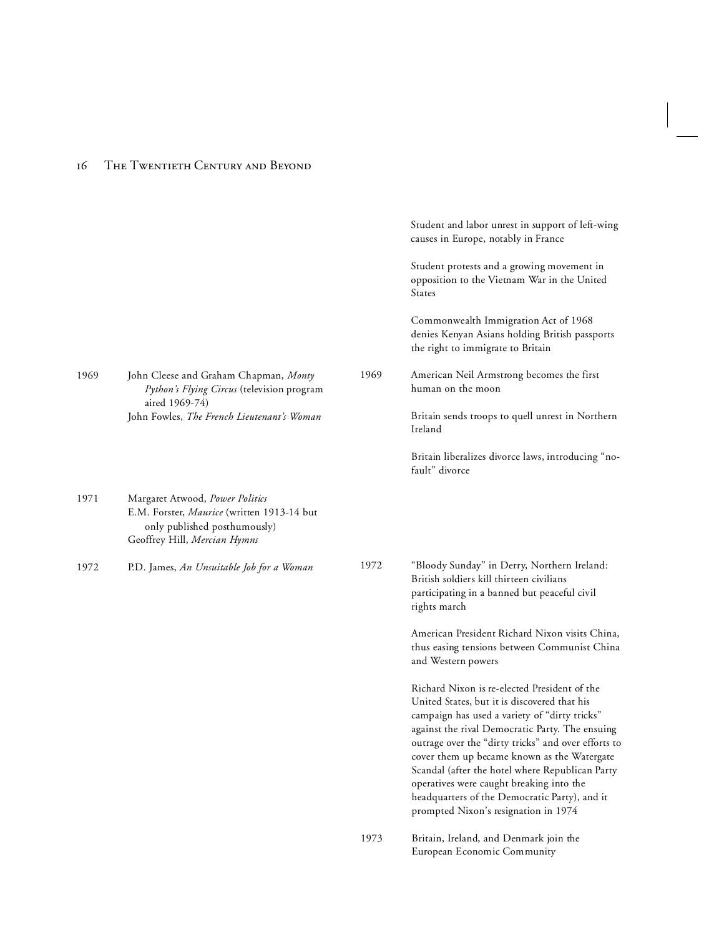|      |                                                                                                                                               |      | Student and labor unrest in support of left-wing<br>causes in Europe, notably in France                                                                                                                                                                                                                                                                                                                                                                                                        |
|------|-----------------------------------------------------------------------------------------------------------------------------------------------|------|------------------------------------------------------------------------------------------------------------------------------------------------------------------------------------------------------------------------------------------------------------------------------------------------------------------------------------------------------------------------------------------------------------------------------------------------------------------------------------------------|
|      |                                                                                                                                               |      | Student protests and a growing movement in<br>opposition to the Vietnam War in the United<br>States                                                                                                                                                                                                                                                                                                                                                                                            |
|      |                                                                                                                                               |      | Commonwealth Immigration Act of 1968<br>denies Kenyan Asians holding British passports<br>the right to immigrate to Britain                                                                                                                                                                                                                                                                                                                                                                    |
| 1969 | John Cleese and Graham Chapman, Monty<br>Python's Flying Circus (television program<br>aired 1969-74)                                         | 1969 | American Neil Armstrong becomes the first<br>human on the moon                                                                                                                                                                                                                                                                                                                                                                                                                                 |
|      | John Fowles, The French Lieutenant's Woman                                                                                                    |      | Britain sends troops to quell unrest in Northern<br>Ireland                                                                                                                                                                                                                                                                                                                                                                                                                                    |
|      |                                                                                                                                               |      | Britain liberalizes divorce laws, introducing "no-<br>fault" divorce                                                                                                                                                                                                                                                                                                                                                                                                                           |
| 1971 | Margaret Atwood, Power Politics<br>E.M. Forster, Maurice (written 1913-14 but<br>only published posthumously)<br>Geoffrey Hill, Mercian Hymns |      |                                                                                                                                                                                                                                                                                                                                                                                                                                                                                                |
| 1972 | P.D. James, An Unsuitable Job for a Woman                                                                                                     | 1972 | "Bloody Sunday" in Derry, Northern Ireland:<br>British soldiers kill thirteen civilians<br>participating in a banned but peaceful civil<br>rights march                                                                                                                                                                                                                                                                                                                                        |
|      |                                                                                                                                               |      | American President Richard Nixon visits China,<br>thus easing tensions between Communist China<br>and Western powers                                                                                                                                                                                                                                                                                                                                                                           |
|      |                                                                                                                                               |      | Richard Nixon is re-elected President of the<br>United States, but it is discovered that his<br>campaign has used a variety of "dirty tricks"<br>against the rival Democratic Party. The ensuing<br>outrage over the "dirty tricks" and over efforts to<br>cover them up became known as the Watergate<br>Scandal (after the hotel where Republican Party<br>operatives were caught breaking into the<br>headquarters of the Democratic Party), and it<br>prompted Nixon's resignation in 1974 |
|      |                                                                                                                                               | 1973 | Britain, Ireland, and Denmark join the<br>European Economic Community                                                                                                                                                                                                                                                                                                                                                                                                                          |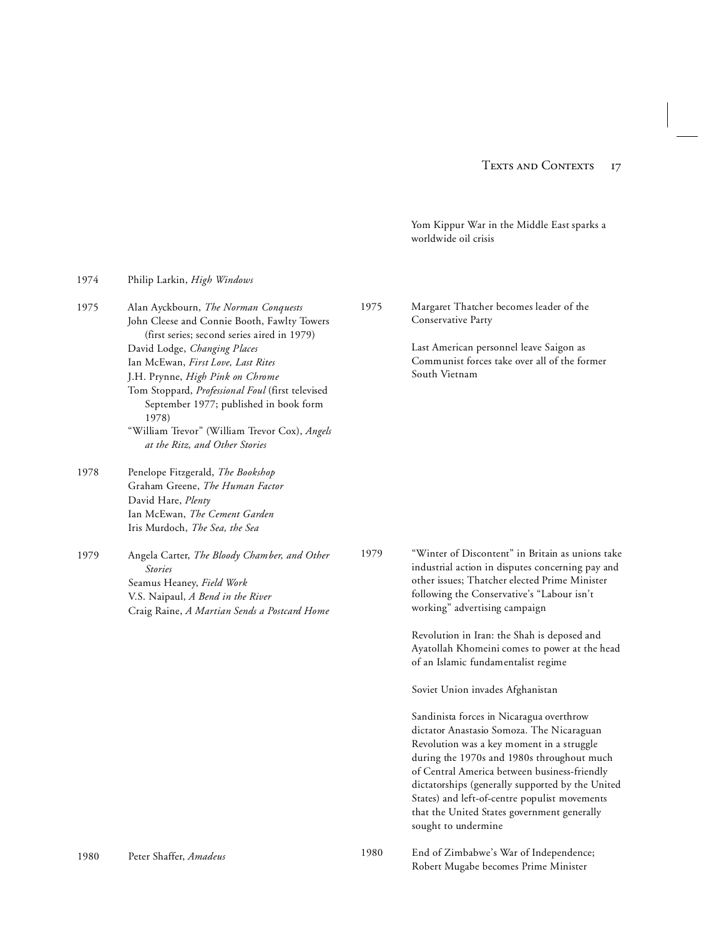Yom Kippur War in the Middle East sparks a worldwide oil crisis

| 1974 | Philip Larkin, <i>High Windows</i>                                                                                                                                                                                                                                                                                                                                                                                                     |      |                                                                                                                                                                                                                                                                                                                                                                                                                                                                                                                                                                                                                                                                                                                                                                                                                                |
|------|----------------------------------------------------------------------------------------------------------------------------------------------------------------------------------------------------------------------------------------------------------------------------------------------------------------------------------------------------------------------------------------------------------------------------------------|------|--------------------------------------------------------------------------------------------------------------------------------------------------------------------------------------------------------------------------------------------------------------------------------------------------------------------------------------------------------------------------------------------------------------------------------------------------------------------------------------------------------------------------------------------------------------------------------------------------------------------------------------------------------------------------------------------------------------------------------------------------------------------------------------------------------------------------------|
| 1975 | Alan Ayckbourn, The Norman Conquests<br>John Cleese and Connie Booth, Fawlty Towers<br>(first series; second series aired in 1979)<br>David Lodge, Changing Places<br>Ian McEwan, First Love, Last Rites<br>J.H. Prynne, High Pink on Chrome<br>Tom Stoppard, Professional Foul (first televised<br>September 1977; published in book form<br>1978)<br>"William Trevor" (William Trevor Cox), Angels<br>at the Ritz, and Other Stories | 1975 | Margaret Thatcher becomes leader of the<br>Conservative Party<br>Last American personnel leave Saigon as<br>Communist forces take over all of the former<br>South Vietnam                                                                                                                                                                                                                                                                                                                                                                                                                                                                                                                                                                                                                                                      |
| 1978 | Penelope Fitzgerald, The Bookshop<br>Graham Greene, The Human Factor<br>David Hare, Plenty<br>Ian McEwan, The Cement Garden<br>Iris Murdoch, The Sea, the Sea                                                                                                                                                                                                                                                                          |      |                                                                                                                                                                                                                                                                                                                                                                                                                                                                                                                                                                                                                                                                                                                                                                                                                                |
| 1979 | Angela Carter, The Bloody Chamber, and Other<br><b>Stories</b><br>Seamus Heaney, Field Work<br>V.S. Naipaul, A Bend in the River<br>Craig Raine, A Martian Sends a Postcard Home                                                                                                                                                                                                                                                       | 1979 | "Winter of Discontent" in Britain as unions take<br>industrial action in disputes concerning pay and<br>other issues; Thatcher elected Prime Minister<br>following the Conservative's "Labour isn't<br>working" advertising campaign<br>Revolution in Iran: the Shah is deposed and<br>Ayatollah Khomeini comes to power at the head<br>of an Islamic fundamentalist regime<br>Soviet Union invades Afghanistan<br>Sandinista forces in Nicaragua overthrow<br>dictator Anastasio Somoza. The Nicaraguan<br>Revolution was a key moment in a struggle<br>during the 1970s and 1980s throughout much<br>of Central America between business-friendly<br>dictatorships (generally supported by the United<br>States) and left-of-centre populist movements<br>that the United States government generally<br>sought to undermine |
| 1980 | Peter Shaffer, Amadeus                                                                                                                                                                                                                                                                                                                                                                                                                 | 1980 | End of Zimbabwe's War of Independence;<br>Robert Mugabe becomes Prime Minister                                                                                                                                                                                                                                                                                                                                                                                                                                                                                                                                                                                                                                                                                                                                                 |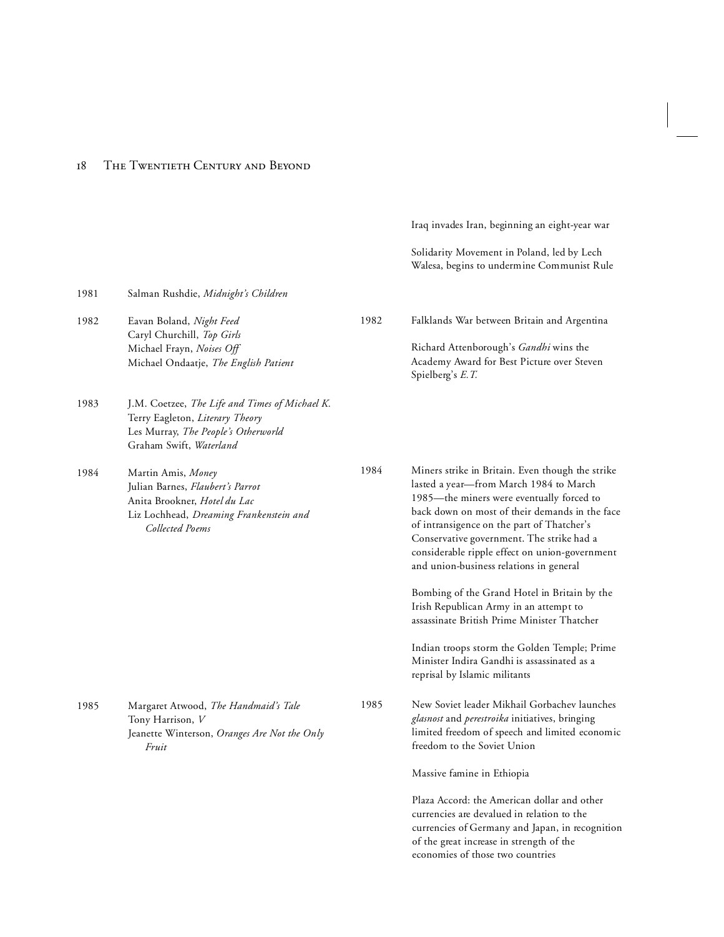|      |                                                                                                                                                      |      | Iraq invades Iran, beginning an eight-year war                                                                                                                                                                                                                                                                                                                                    |
|------|------------------------------------------------------------------------------------------------------------------------------------------------------|------|-----------------------------------------------------------------------------------------------------------------------------------------------------------------------------------------------------------------------------------------------------------------------------------------------------------------------------------------------------------------------------------|
|      |                                                                                                                                                      |      | Solidarity Movement in Poland, led by Lech<br>Walesa, begins to undermine Communist Rule                                                                                                                                                                                                                                                                                          |
| 1981 | Salman Rushdie, Midnight's Children                                                                                                                  |      |                                                                                                                                                                                                                                                                                                                                                                                   |
| 1982 | Eavan Boland, Night Feed<br>Caryl Churchill, Top Girls<br>Michael Frayn, Noises Off<br>Michael Ondaatje, The English Patient                         | 1982 | Falklands War between Britain and Argentina<br>Richard Attenborough's Gandhi wins the<br>Academy Award for Best Picture over Steven<br>Spielberg's E.T.                                                                                                                                                                                                                           |
| 1983 | J.M. Coetzee, The Life and Times of Michael K.<br>Terry Eagleton, Literary Theory<br>Les Murray, The People's Otherworld<br>Graham Swift, Waterland  |      |                                                                                                                                                                                                                                                                                                                                                                                   |
| 1984 | Martin Amis, Money<br>Julian Barnes, Flaubert's Parrot<br>Anita Brookner, Hotel du Lac<br>Liz Lochhead, Dreaming Frankenstein and<br>Collected Poems | 1984 | Miners strike in Britain. Even though the strike<br>lasted a year-from March 1984 to March<br>1985-the miners were eventually forced to<br>back down on most of their demands in the face<br>of intransigence on the part of Thatcher's<br>Conservative government. The strike had a<br>considerable ripple effect on union-government<br>and union-business relations in general |
|      |                                                                                                                                                      |      | Bombing of the Grand Hotel in Britain by the<br>Irish Republican Army in an attempt to<br>assassinate British Prime Minister Thatcher                                                                                                                                                                                                                                             |
|      |                                                                                                                                                      |      | Indian troops storm the Golden Temple; Prime<br>Minister Indira Gandhi is assassinated as a<br>reprisal by Islamic militants                                                                                                                                                                                                                                                      |
| 1985 | Margaret Atwood, The Handmaid's Tale<br>Tony Harrison, V<br>Jeanette Winterson, Oranges Are Not the Only<br>Fruit                                    | 1985 | New Soviet leader Mikhail Gorbachev launches<br>glasnost and perestroika initiatives, bringing<br>limited freedom of speech and limited economic<br>freedom to the Soviet Union                                                                                                                                                                                                   |
|      |                                                                                                                                                      |      | Massive famine in Ethiopia                                                                                                                                                                                                                                                                                                                                                        |
|      |                                                                                                                                                      |      | Plaza Accord: the American dollar and other<br>currencies are devalued in relation to the<br>currencies of Germany and Japan, in recognition<br>of the great increase in strength of the                                                                                                                                                                                          |

economies of those two countries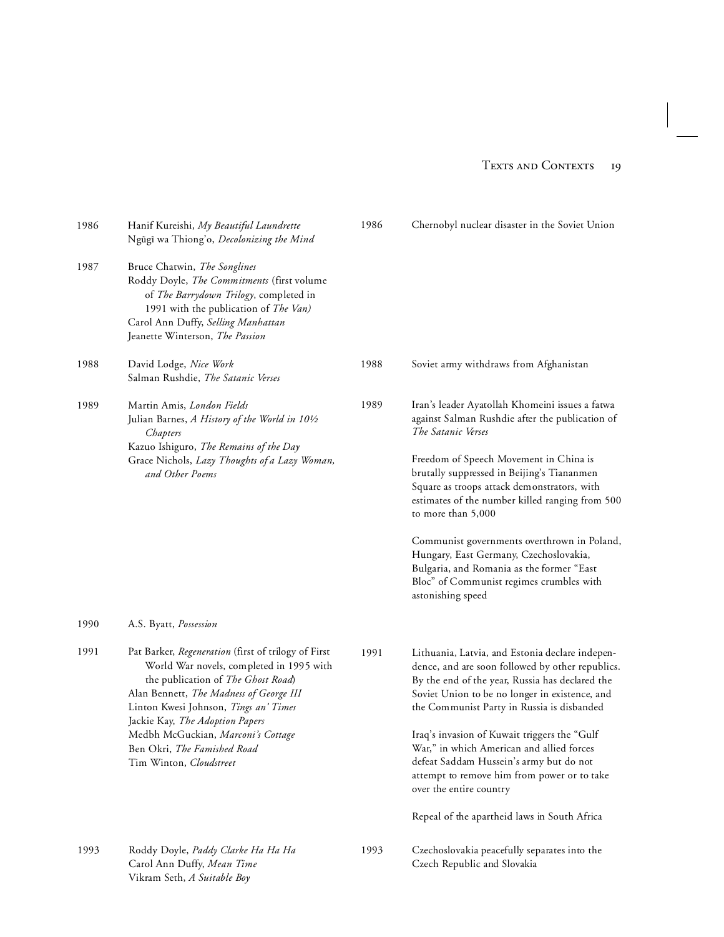| 1986 | Hanif Kureishi, My Beautiful Laundrette<br>Ngũgĩ wa Thiong'o, Decolonizing the Mind                                                                                                                                                                                                                                                                          | 1986 | Chernobyl nuclear disaster in the Soviet Union                                                                                                                                                                                                                                                                                                                                                                                                                                                                                                  |
|------|--------------------------------------------------------------------------------------------------------------------------------------------------------------------------------------------------------------------------------------------------------------------------------------------------------------------------------------------------------------|------|-------------------------------------------------------------------------------------------------------------------------------------------------------------------------------------------------------------------------------------------------------------------------------------------------------------------------------------------------------------------------------------------------------------------------------------------------------------------------------------------------------------------------------------------------|
| 1987 | Bruce Chatwin, The Songlines<br>Roddy Doyle, The Commitments (first volume<br>of The Barrydown Trilogy, completed in<br>1991 with the publication of The Van)<br>Carol Ann Duffy, Selling Manhattan<br>Jeanette Winterson, The Passion                                                                                                                       |      |                                                                                                                                                                                                                                                                                                                                                                                                                                                                                                                                                 |
| 1988 | David Lodge, Nice Work<br>Salman Rushdie, The Satanic Verses                                                                                                                                                                                                                                                                                                 | 1988 | Soviet army withdraws from Afghanistan                                                                                                                                                                                                                                                                                                                                                                                                                                                                                                          |
| 1989 | Martin Amis, London Fields<br>Julian Barnes, A History of the World in 101/2<br>Chapters<br>Kazuo Ishiguro, The Remains of the Day<br>Grace Nichols, Lazy Thoughts of a Lazy Woman,<br>and Other Poems                                                                                                                                                       | 1989 | Iran's leader Ayatollah Khomeini issues a fatwa<br>against Salman Rushdie after the publication of<br>The Satanic Verses<br>Freedom of Speech Movement in China is<br>brutally suppressed in Beijing's Tiananmen<br>Square as troops attack demonstrators, with<br>estimates of the number killed ranging from 500<br>to more than 5,000<br>Communist governments overthrown in Poland,<br>Hungary, East Germany, Czechoslovakia,<br>Bulgaria, and Romania as the former "East<br>Bloc" of Communist regimes crumbles with<br>astonishing speed |
| 1990 | A.S. Byatt, Possession                                                                                                                                                                                                                                                                                                                                       |      |                                                                                                                                                                                                                                                                                                                                                                                                                                                                                                                                                 |
| 1991 | Pat Barker, Regeneration (first of trilogy of First<br>World War novels, completed in 1995 with<br>the publication of The Ghost Road)<br>Alan Bennett, The Madness of George III<br>Linton Kwesi Johnson, Tings an' Times<br>Jackie Kay, The Adoption Papers<br>Medbh McGuckian, Marconi's Cottage<br>Ben Okri, The Famished Road<br>Tim Winton, Cloudstreet | 1991 | Lithuania, Latvia, and Estonia declare indepen-<br>dence, and are soon followed by other republics.<br>By the end of the year, Russia has declared the<br>Soviet Union to be no longer in existence, and<br>the Communist Party in Russia is disbanded<br>Iraq's invasion of Kuwait triggers the "Gulf<br>War," in which American and allied forces<br>defeat Saddam Hussein's army but do not<br>attempt to remove him from power or to take<br>over the entire country<br>Repeal of the apartheid laws in South Africa                        |
| 1993 | Roddy Doyle, Paddy Clarke Ha Ha Ha<br>Carol Ann Duffy, Mean Time<br>Vikram Seth, A Suitable Boy                                                                                                                                                                                                                                                              | 1993 | Czechoslovakia peacefully separates into the<br>Czech Republic and Slovakia                                                                                                                                                                                                                                                                                                                                                                                                                                                                     |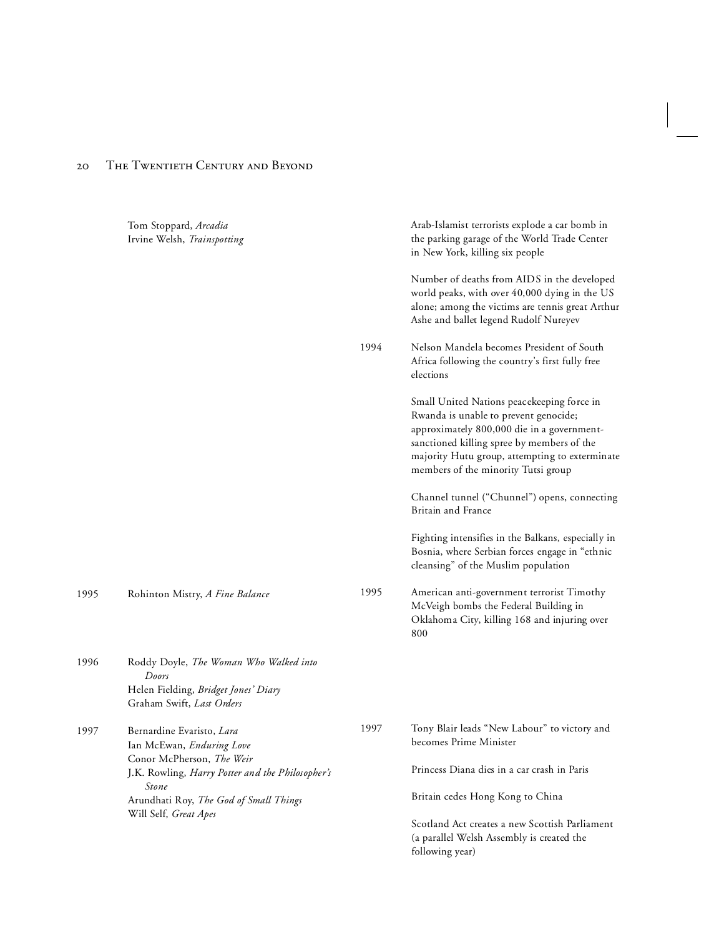### 20 THE TWENTIETH CENTURY AND BEYOND

|      | Tom Stoppard, Arcadia<br>Irvine Welsh, Trainspotting                                    |      | Arab-Islamist terrorists explode a car bomb in<br>the parking garage of the World Trade Center<br>in New York, killing six people                                                                                                                                        |
|------|-----------------------------------------------------------------------------------------|------|--------------------------------------------------------------------------------------------------------------------------------------------------------------------------------------------------------------------------------------------------------------------------|
|      |                                                                                         |      | Number of deaths from AIDS in the developed<br>world peaks, with over 40,000 dying in the US<br>alone; among the victims are tennis great Arthur<br>Ashe and ballet legend Rudolf Nureyev                                                                                |
|      |                                                                                         | 1994 | Nelson Mandela becomes President of South<br>Africa following the country's first fully free<br>elections                                                                                                                                                                |
|      |                                                                                         |      | Small United Nations peacekeeping force in<br>Rwanda is unable to prevent genocide;<br>approximately 800,000 die in a government-<br>sanctioned killing spree by members of the<br>majority Hutu group, attempting to exterminate<br>members of the minority Tutsi group |
|      |                                                                                         |      | Channel tunnel ("Chunnel") opens, connecting<br>Britain and France                                                                                                                                                                                                       |
|      |                                                                                         |      | Fighting intensifies in the Balkans, especially in<br>Bosnia, where Serbian forces engage in "ethnic<br>cleansing" of the Muslim population                                                                                                                              |
| 1995 | Rohinton Mistry, A Fine Balance                                                         | 1995 | American anti-government terrorist Timothy<br>McVeigh bombs the Federal Building in<br>Oklahoma City, killing 168 and injuring over<br>800                                                                                                                               |
| 1996 | Roddy Doyle, The Woman Who Walked into<br>Doors<br>Helen Fielding, Bridget Jones' Diary |      |                                                                                                                                                                                                                                                                          |
| 1997 | Graham Swift, Last Orders<br>Bernardine Evaristo, Lara<br>Ian McEwan, Enduring Love     | 1997 | Tony Blair leads "New Labour" to victory and<br>becomes Prime Minister                                                                                                                                                                                                   |
|      | Conor McPherson, The Weir<br>J.K. Rowling, Harry Potter and the Philosopher's           |      | Princess Diana dies in a car crash in Paris                                                                                                                                                                                                                              |
|      | Stone<br>Arundhati Roy, The God of Small Things                                         |      | Britain cedes Hong Kong to China                                                                                                                                                                                                                                         |
|      | Will Self, Great Apes                                                                   |      | Scotland Act creates a new Scottish Parliament<br>(a parallel Welsh Assembly is created the<br>following year)                                                                                                                                                           |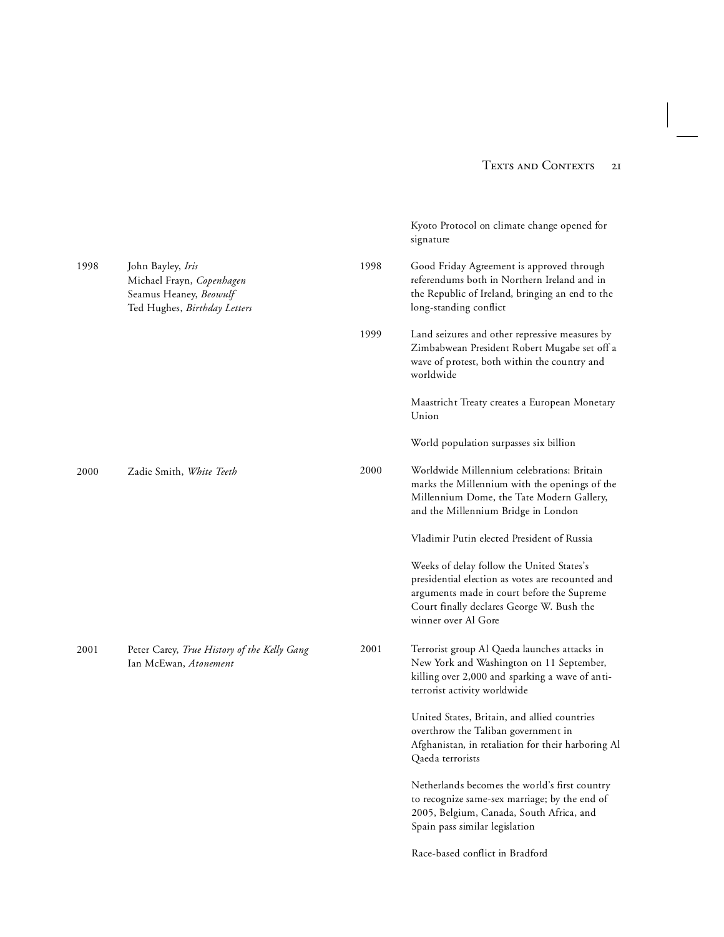Kyoto Protocol on climate change opened for

signature

1998 John Bayley, *Iris* Michael Frayn, *Copenhagen* Seamus Heaney, *Beowulf*  Ted Hughes, *Birthday Letters* 2000 Zadie Smith, *White Teeth* 2001 Peter Carey, *True History of the Kelly Gang* Ian McEwan, *Atonement* 1998 Good Friday Agreement is approved through referendums both in Northern Ireland and in the Republic of Ireland, bringing an end to the long-standing conflict 1999 Land seizures and other repressive measures by Zimbabwean President Robert Mugabe set off a wave of protest, both within the country and worldwide Maastricht Treaty creates a European Monetary Union World population surpasses six billion 2000 Worldwide Millennium celebrations: Britain marks the Millennium with the openings of the Millennium Dome, the Tate Modern Gallery, and the Millennium Bridge in London Vladimir Putin elected President of Russia Weeks of delay follow the United States's presidential election as votes are recounted and arguments made in court before the Supreme Court finally declares George W. Bush the winner over Al Gore 2001 Terrorist group Al Qaeda launches attacks in New York and Washington on 11 September, killing over 2,000 and sparking a wave of antiterrorist activity worldwide United States, Britain, and allied countries overthrow the Taliban government in Afghanistan, in retaliation for their harboring Al Qaeda terrorists Netherlands becomes the world's first country to recognize same-sex marriage; by the end of 2005, Belgium, Canada, South Africa, and Spain pass similar legislation Race-based conflict in Bradford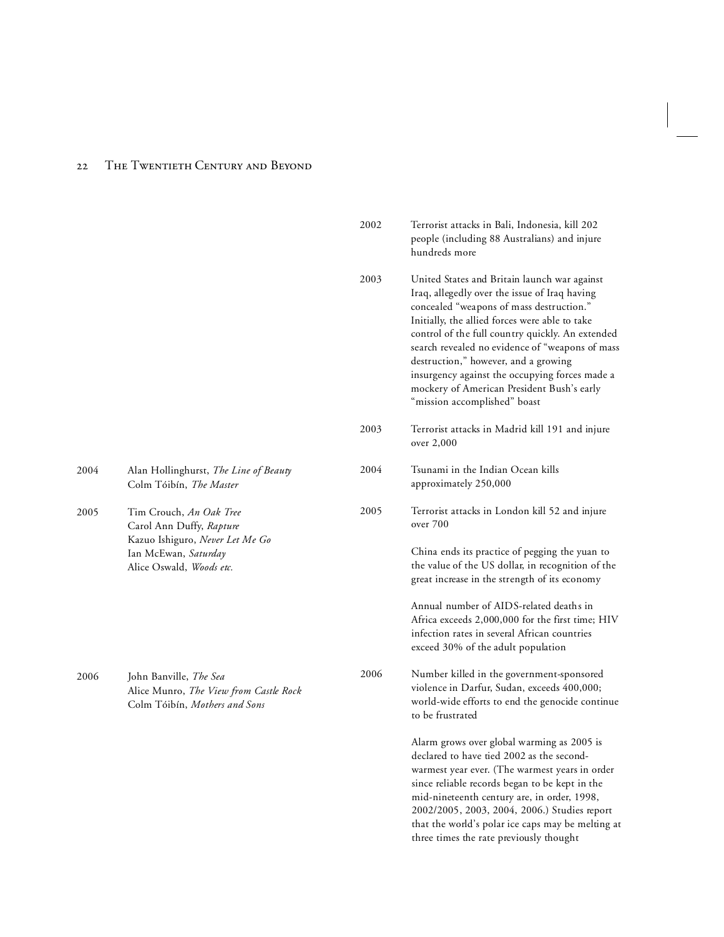### 22 THE TWENTIETH CENTURY AND BEYOND

2005

2006 John Banville, *The Sea*

|      |                                                                                                                                            | 2002 | Terrorist attacks in Bali, Indonesia, kill 202<br>people (including 88 Australians) and injure<br>hundreds more                                                                                                                                                                                                                                                                                                                                                            |
|------|--------------------------------------------------------------------------------------------------------------------------------------------|------|----------------------------------------------------------------------------------------------------------------------------------------------------------------------------------------------------------------------------------------------------------------------------------------------------------------------------------------------------------------------------------------------------------------------------------------------------------------------------|
|      |                                                                                                                                            | 2003 | United States and Britain launch war against<br>Iraq, allegedly over the issue of Iraq having<br>concealed "weapons of mass destruction."<br>Initially, the allied forces were able to take<br>control of the full country quickly. An extended<br>search revealed no evidence of "weapons of mass<br>destruction," however, and a growing<br>insurgency against the occupying forces made a<br>mockery of American President Bush's early<br>"mission accomplished" boast |
|      |                                                                                                                                            | 2003 | Terrorist attacks in Madrid kill 191 and injure<br>over 2,000                                                                                                                                                                                                                                                                                                                                                                                                              |
| 2004 | Alan Hollinghurst, The Line of Beauty<br>Colm Tóibín, The Master                                                                           | 2004 | Tsunami in the Indian Ocean kills<br>approximately 250,000                                                                                                                                                                                                                                                                                                                                                                                                                 |
| 2005 | Tim Crouch, An Oak Tree<br>Carol Ann Duffy, Rapture<br>Kazuo Ishiguro, Never Let Me Go<br>Ian McEwan, Saturday<br>Alice Oswald, Woods etc. | 2005 | Terrorist attacks in London kill 52 and injure<br>over 700                                                                                                                                                                                                                                                                                                                                                                                                                 |
|      |                                                                                                                                            |      | China ends its practice of pegging the yuan to<br>the value of the US dollar, in recognition of the<br>great increase in the strength of its economy                                                                                                                                                                                                                                                                                                                       |
|      |                                                                                                                                            |      | Annual number of AIDS-related deaths in<br>Africa exceeds 2,000,000 for the first time; HIV<br>infection rates in several African countries<br>exceed 30% of the adult population                                                                                                                                                                                                                                                                                          |
| 2006 | John Banville, The Sea<br>Alice Munro, The View from Castle Rock<br>Colm Tóibín, Mothers and Sons                                          | 2006 | Number killed in the government-sponsored<br>violence in Darfur, Sudan, exceeds 400,000;<br>world-wide efforts to end the genocide continue<br>to be frustrated                                                                                                                                                                                                                                                                                                            |
|      |                                                                                                                                            |      | Alarm grows over global warming as 2005 is<br>declared to have tied 2002 as the second-<br>warmest year ever. (The warmest years in order<br>since reliable records began to be kept in the<br>mid-nineteenth century are, in order, 1998,<br>2002/2005, 2003, 2004, 2006.) Studies report<br>that the world's polar ice caps may be melting at<br>three times the rate previously thought                                                                                 |